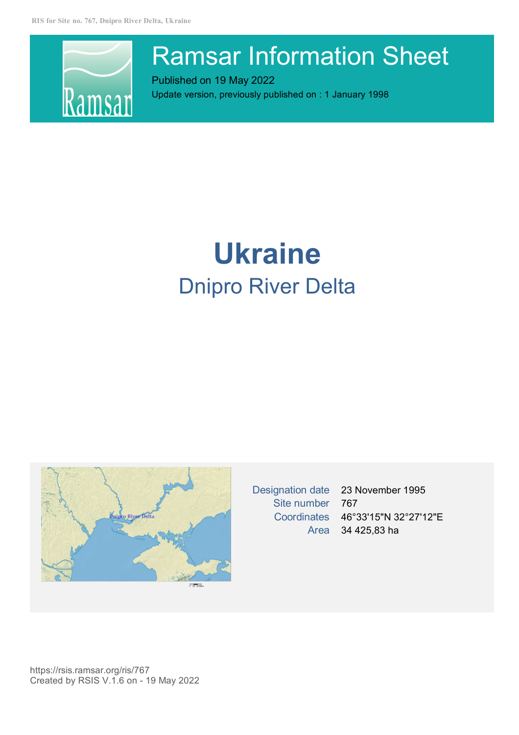

# Ramsar Information Sheet

Published on 19 May 2022 Update version, previously published on : 1 January 1998

# **Ukraine** Dnipro River Delta



Designation date 23 November 1995 Site number 767 Coordinates 46°33'15"N 32°27'12"E Area 34 425,83 ha

https://rsis.ramsar.org/ris/767 Created by RSIS V.1.6 on - 19 May 2022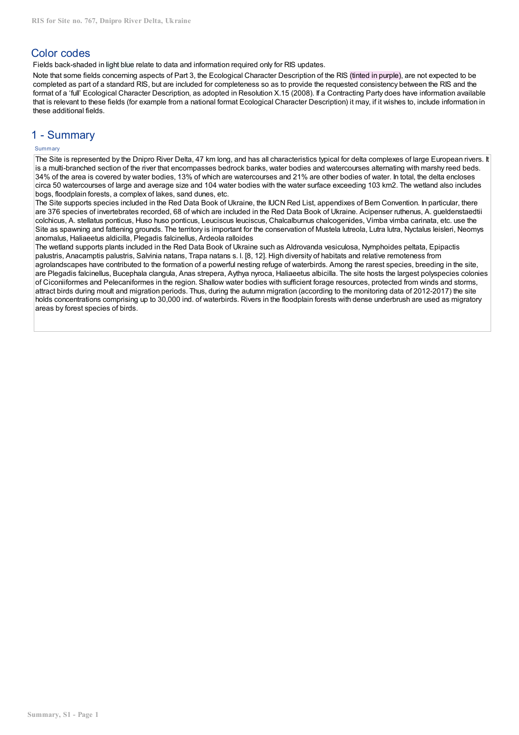# Color codes

Fields back-shaded in light blue relate to data and information required only for RIS updates.

Note that some fields concerning aspects of Part 3, the Ecological Character Description of the RIS (tinted in purple), are not expected to be completed as part of a standard RIS, but are included for completeness so as to provide the requested consistency between the RIS and the format of a 'full' Ecological Character Description, as adopted in Resolution X.15 (2008). If a Contracting Party does have information available that is relevant to these fields (for example from a national format Ecological Character Description) it may, if it wishes to, include information in these additional fields.

# 1 - Summary

# Summary

The Site is represented by the Dnipro River Delta, 47 km long, and has all characteristics typical for delta complexes of large European rivers. It is a multi-branched section of the river that encompasses bedrock banks, water bodies and watercourses alternating with marshy reed beds. 34% of the area is covered by water bodies, 13% of which are watercourses and 21% are other bodies of water. In total, the delta encloses circa 50 watercourses of large and average size and 104 water bodies with the water surface exceeding 103 km2. The wetland also includes bogs, floodplain forests, a complex of lakes, sand dunes, etc.

The Site supports species included in the Red Data Book of Ukraine, the IUCN Red List, appendixes of Bern Convention. In particular, there are 376 species of invertebrates recorded, 68 of which are included in the Red Data Book of Ukraine. Acipenser ruthenus, A. gueldenstaedtii colchicus, A. stellatus ponticus, Huso huso ponticus, Leuciscus leuciscus, Chalcalburnus chalcogenides, Vimba vimba carinata, etc. use the Site as spawning and fattening grounds. The territory is important for the conservation of Mustela lutreola, Lutra lutra, Nyctalus leisleri, Neomys anomalus, Haliaeetus aldicilla, Plegadis falcinellus, Ardeola ralloides

The wetland supports plants included in the Red Data Book of Ukraine such as Aldrovanda vesiculosa, Nymphoides peltata, Epipactis palustris, Anacamptis palustris, Salvinia natans, Trapa natans s. l. [8, 12]. High diversity of habitats and relative remoteness from agrolandscapes have contributed to the formation of a powerful nesting refuge of waterbirds. Among the rarest species, breeding in the site, are Plegadis falcinellus, Bucephala clangula, Anas strepera, Aythya nyroca, Haliaeetus albicilla. The site hosts the largest polyspecies colonies of Ciconiiformes and Pelecaniformes in the region. Shallow water bodies with sufficient forage resources, protected from winds and storms, attract birds during moult and migration periods. Thus, during the autumn migration (according to the monitoring data of 2012-2017) the site holds concentrations comprising up to 30,000 ind. of waterbirds. Rivers in the floodplain forests with dense underbrush are used as migratory areas by forest species of birds.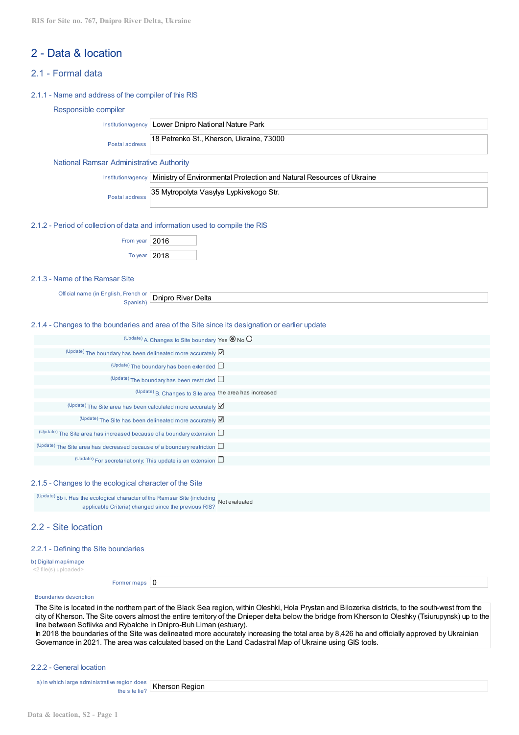# 2 - Data & location

# 2.1 - Formal data

#### 2.1.1 - Name and address of the compiler of this RIS

#### Responsible compiler

Institution/agency Lower Dnipro National Nature Park

Postal address 18 Petrenko St., Kherson, Ukraine, 73000

#### National Ramsar Administrative Authority

Institution/agency Ministry of Environmental Protection and Natural Resources of Ukraine

Postal address 35 Mytropolyta Vasylya Lypkіvskogo Str.

#### 2.1.2 - Period of collection of data and information used to compile the RIS

| From year $ 2016$ |  |
|-------------------|--|
| To year $ 2018$   |  |

#### 2.1.3 - Name of the Ramsar Site

Official name (in English, French or Spanish) Dnipro River Delta

#### 2.1.4 - Changes to the boundaries and area of the Site since its designation or earlier update

| (Update) A. Changes to Site boundary Yes $\circledcirc$ No $\circlearrowright$     |  |
|------------------------------------------------------------------------------------|--|
| (Update) The boundary has been delineated more accurately $\boxtimes$              |  |
| $(U$ <sup>pdate</sup> ) The boundary has been extended $\square$                   |  |
| $(U$ <sup>pdate</sup> ) The boundary has been restricted $\square$                 |  |
| (Update) B. Changes to Site area the area has increased                            |  |
| (Update) The Site area has been calculated more accurately $\boxtimes$             |  |
| $(U$ <sup>pdate</sup> ) The Site has been delineated more accurately $\mathbb Z$   |  |
| $(Update)$ The Site area has increased because of a boundary extension $\square$   |  |
| $(Update)$ The Site area has decreased because of a boundary restriction $\square$ |  |
| $(U$ <sup>pdate</sup> ) For secretariat only: This update is an extension $\Box$   |  |

#### 2.1.5 - Changes to the ecological character of the Site

(Update) 6b i. Has the ecological character of the Ramsar Site (including Not evaluated applicable Criteria) changed since the previous RIS?

# 2.2 - Site location

#### 2.2.1 - Defining the Site boundaries

b) Digital map/image <2 file(s) uploaded>

Former maps  $\vert 0 \vert$ 

#### Boundaries description

The Site is located in the northern part of the Black Sea region, within Oleshki, Hola Prystan and Bilozerka districts, to the south-west from the city of Kherson. The Site covers almost the entire territory of the Dnieper delta below the bridge from Kherson to Oleshky (Tsiurupynsk) up to the line between Sofiivka and Rybalche in Dnipro-Buh Liman (estuary). In 2018 the boundaries of the Site was delineated more accurately increasing the total area by 8,426 ha and officially approved by Ukrainian

Governance in 2021. The area was calculated based on the Land Cadastral Map of Ukraine using GIS tools.

#### 2.2.2 - General location

a) In which large administrative region does the site lie? Kherson Region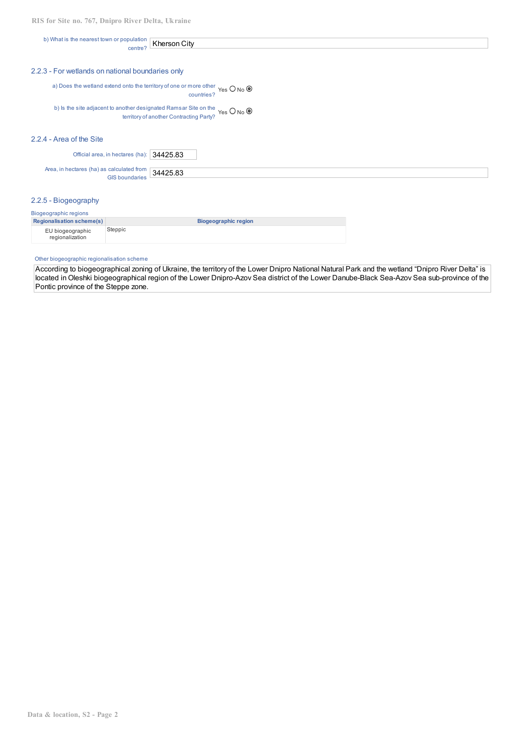b) What is the nearest town or population centre? Kherson City

#### 2.2.3 - For wetlands on national boundaries only

a) Does the wetland extend onto the territory of one or more other Yes O No countries?

b) Is the site adjacent to another designated Ramsar Site on the Yes O No I territory of another Contracting Party?

#### 2.2.4 - Area of the Site

Official area, in hectares (ha):  $34425.83$ 

Area, in hectares (ha) as calculated from 34425.83 GIS boundaries

## 2.2.5 - Biogeography

| Biogeographic regions               |                             |  |  |  |  |  |  |  |
|-------------------------------------|-----------------------------|--|--|--|--|--|--|--|
| <b>Regionalisation scheme(s)</b>    | <b>Biogeographic region</b> |  |  |  |  |  |  |  |
| EU biogeographic<br>regionalization | Steppic                     |  |  |  |  |  |  |  |

#### Other biogeographic regionalisation scheme

According to biogeographical zoning of Ukraine, the territory of the Lower Dnipro National Natural Park and the wetland "Dnipro River Delta" is located in Oleshki biogeographical region of the Lower Dnipro-Azov Sea district of the Lower Danube-Black Sea-Azov Sea sub-province of the Pontic province of the Steppe zone.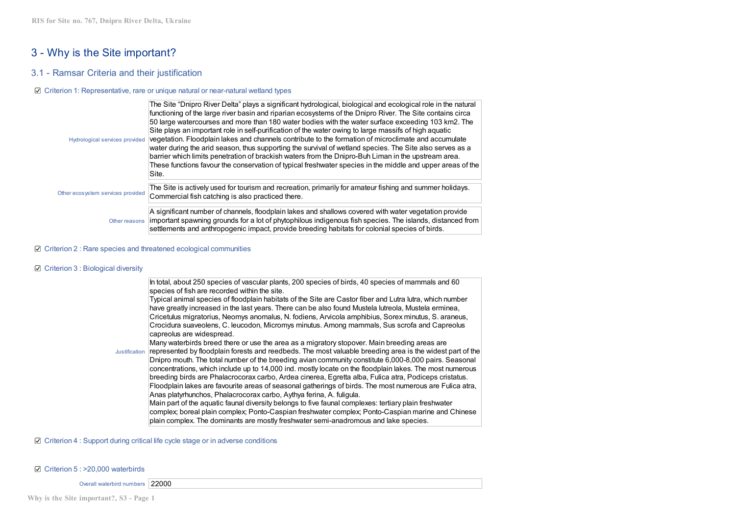# 3 - Why is the Site important?

# 3.1 - Ramsar Criteria and their justification

#### Criterion 1: Representative, rare or unique natural or near-natural wetland types

| Hydrological services provided    | The Site "Dnipro River Delta" plays a significant hydrological, biological and ecological role in the natural<br>functioning of the large river basin and riparian ecosystems of the Dnipro River. The Site contains circa<br>50 large watercourses and more than 180 water bodies with the water surface exceeding 103 km2. The<br>Site plays an important role in self-purification of the water owing to large massifs of high aguatic<br>vegetation. Floodplain lakes and channels contribute to the formation of microclimate and accumulate<br>water during the arid season, thus supporting the survival of wetland species. The Site also serves as a<br>barrier which limits penetration of brackish waters from the Dnipro-Buh Liman in the upstream area.<br>These functions favour the conservation of typical freshwater species in the middle and upper areas of the<br>Site. |
|-----------------------------------|---------------------------------------------------------------------------------------------------------------------------------------------------------------------------------------------------------------------------------------------------------------------------------------------------------------------------------------------------------------------------------------------------------------------------------------------------------------------------------------------------------------------------------------------------------------------------------------------------------------------------------------------------------------------------------------------------------------------------------------------------------------------------------------------------------------------------------------------------------------------------------------------|
| Other ecosystem services provided | The Site is actively used for tourism and recreation, primarily for amateur fishing and summer holidays.<br>Commercial fish catching is also practiced there.                                                                                                                                                                                                                                                                                                                                                                                                                                                                                                                                                                                                                                                                                                                               |
| Other reasons                     | A significant number of channels, floodplain lakes and shallows covered with water vegetation provide<br>important spawning grounds for a lot of phytophilous indigenous fish species. The islands, distanced from<br>settlements and anthropogenic impact, provide breeding habitats for colonial species of birds.                                                                                                                                                                                                                                                                                                                                                                                                                                                                                                                                                                        |

#### $□$  Criterion 2 : Rare species and threatened ecological communities

#### C Criterion 3 : Biological diversity

In total, about 250 species of vascular plants, 200 species of birds, 40 species of mammals and 60 species of fish are recorded within the site.

Typical animal species of floodplain habitats of the Site are Castor fiber and Lutra lutra, which number have greatly increased in the last years. There can be also found Mustela lutreola, Mustela erminea, Cricetulus migratorius, Neomys anomalus, N. fodiens, Arvicola amphibius, Sorex minutus, S. araneus, Crocidura suaveolens, C. leucodon, Micromys minutus. Among mammals, Sus scrofa and Capreolus capreolus are widespread.

Many waterbirds breed there or use the area as a migratory stopover. Main breeding areas are

Justification represented by floodplain forests and reedbeds. The most valuable breeding area is the widest part of the Dnipro mouth. The total number of the breeding avian community constitute 6,000-8,000 pairs. Seasonal concentrations, which include up to 14,000 ind. mostly locate on the floodplain lakes. The most numerous breeding birds are Phalacrocorax carbo, Ardea cinerea, Egretta alba, Fulica atra, Podiceps cristatus. Floodplain lakes are favourite areas of seasonal gatherings of birds. The most numerous are Fulica atra, Anas platyrhunchos, Phalacrocorax carbo, Aythya ferina, A. fuligula. Main part of the aquatic faunal diversity belongs to five faunal complexes: tertiary plain freshwater complex; boreal plain complex; Ponto-Caspian freshwater complex; Ponto-Caspian marine and Chinese

plain complex. The dominants are mostly freshwater semi-anadromous and lake species.

#### $\boxtimes$  Criterion 4 : Support during critical life cycle stage or in adverse conditions

#### Criterion 5 : >20,000 waterbirds

Overall waterbird numbers 22000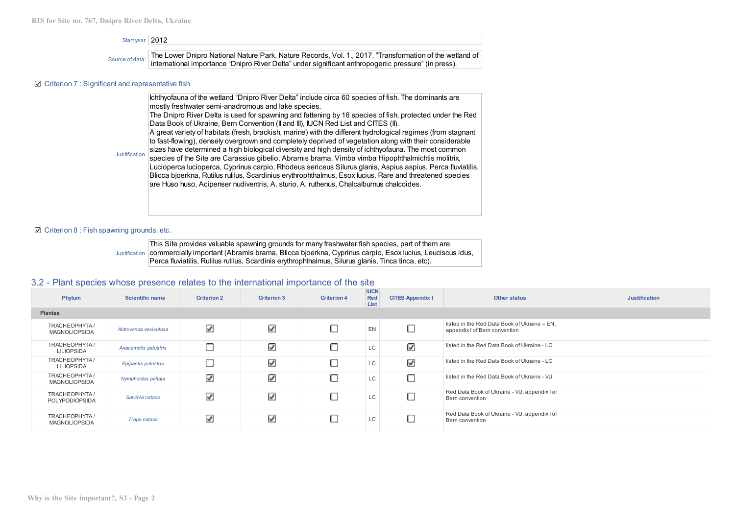| Start year 2012                                               |                                                                                                                                                                                                                |  |  |  |  |  |  |  |
|---------------------------------------------------------------|----------------------------------------------------------------------------------------------------------------------------------------------------------------------------------------------------------------|--|--|--|--|--|--|--|
| Source of data:                                               | The Lower Dnipro National Nature Park. Nature Records, Vol. 1., 2017. "Transformation of the wetland of<br>international importance "Dnipro River Delta" under significant anthropogenic pressure" (in press). |  |  |  |  |  |  |  |
| $\boxtimes$ Criterion 7 : Significant and representative fish |                                                                                                                                                                                                                |  |  |  |  |  |  |  |
|                                                               | Ichthyofauna of the wetland "Dnipro River Delta" include circa 60 species of fish. The dominants are                                                                                                           |  |  |  |  |  |  |  |

Justification mostly freshwater semi-anadromous and lake species. The Dnipro River Delta is used for spawning and fattening by 16 species of fish, protected under the Red Data Book of Ukraine, Bern Convention (II and III), IUCN Red List and CITES (II). A great variety of habitats (fresh, brackish, marine) with the different hydrological regimes (from stagnant to fast-flowing), densely overgrown and completely deprived of vegetation along with their considerable sizes have determined a high biological diversity and high density of ichthyofauna. The most common species of the Site are Carassius gibelio, Abramis brama, Vimba vimba Hipophthalmichtis molitrix, Lucіoperca lucіoperca, Cyprіnus carpіo, Rhodeus sericeus Sіlurus glanіs, Aspіus aspіus, Perca fluvіatіlіs, Blіcca bjoerkna, Rutіlus rulіlus, Scardіnіus erythrophthalmus, Esox lucіus. Rare and threatened species are Huso huso, Acіpenser nudіventrіs, A. sturіo, A. ruthenus, Chalcalburnus chalcoіdes.

#### **■** Criterion 8 : Fish spawning grounds, etc.

Justification | commercially important (Abramis brama, Blicca bjoerkna, Cyprinus carpio, Esox lucius, Leuciscus idus, This Site provides valuable spawning grounds for many freshwater fish species, part of them are Perca fluviatilis, Rutilus rutilus, Scardinis erythrophthalmus, Silurus glanis, Tinca tinca, etc).

# 3.2 - Plant species whose presence relates to the international importance of the site

| Phylum                                | <b>Scientific name</b> | <b>Criterion 2</b>       | <b>Criterion 3</b>       | <b>Criterion 4</b> | <b>IUCN</b><br>Red<br>List | <b>CITES Appendix I</b>  | <b>Other status</b>                                                           | <b>Justification</b> |  |  |
|---------------------------------------|------------------------|--------------------------|--------------------------|--------------------|----------------------------|--------------------------|-------------------------------------------------------------------------------|----------------------|--|--|
| Plantae                               |                        |                          |                          |                    |                            |                          |                                                                               |                      |  |  |
| TRACHEOPHYTA/<br><b>MAGNOLIOPSIDA</b> | Aldrovanda vesiculosa  | ☑                        | $\overline{\mathcal{L}}$ |                    | EN                         |                          | listed in the Red Data Book of Ukraine - EN,<br>appendix I of Bern convention |                      |  |  |
| TRACHEOPHYTA/<br><b>LILIOPSIDA</b>    | Anacamptis palustris   | ╒                        | ⊽                        |                    | <b>LC</b>                  | $\overline{\mathscr{L}}$ | listed in the Red Data Book of Ukraine - LC                                   |                      |  |  |
| TRACHEOPHYTA/<br><b>LILIOPSIDA</b>    | Epipactis palustris    | ╒                        | ☑                        |                    | LC                         | $\overline{\mathscr{L}}$ | listed in the Red Data Book of Ukraine - LC                                   |                      |  |  |
| TRACHEOPHYTA/<br><b>MAGNOLIOPSIDA</b> | Nymphoides peltata     | $\overline{\mathscr{L}}$ | $\overline{\mathcal{L}}$ |                    | LC                         |                          | listed in the Red Data Book of Ukraine - VU                                   |                      |  |  |
| TRACHEOPHYTA/<br>POLYPODIOPSIDA       | Salvinia natans        | ☑                        | ⊽                        |                    | LC                         |                          | Red Data Book of Ukraine - VU, appendix I of<br>Bern convention               |                      |  |  |
| TRACHEOPHYTA/<br><b>MAGNOLIOPSIDA</b> | Trapa natans           | ☑                        | ☑                        |                    | LC                         |                          | Red Data Book of Ukraine - VU, appendix I of<br>Bern convention               |                      |  |  |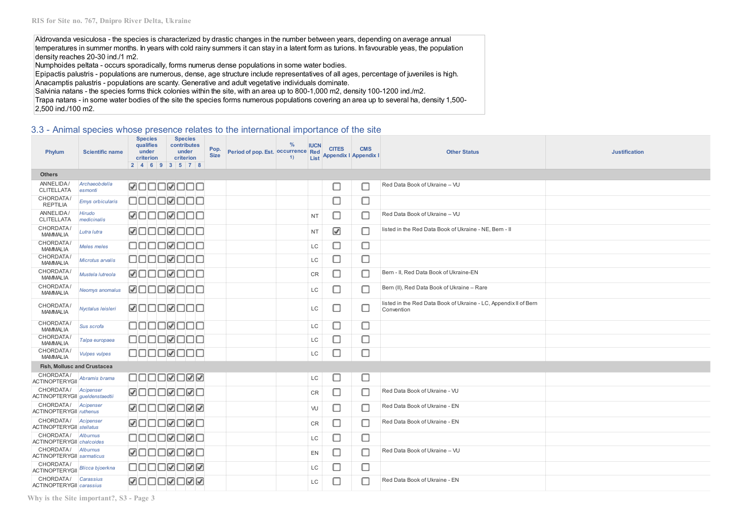Aldrovanda vesiculosa - the species is characterized by drastic changes in the number between years, depending on average annual temperatures in summer months. In years with cold rainy summers it can stay in a latent form as turions. In favourable yeas, the population density reaches 20-30 ind./1 m2.

Numphoides peltata - occurs sporadically, forms numerus dense populations in some water bodies.

Epipactis palustris - populations are numerous, dense, age structure include representatives of all ages, percentage of juveniles is high. Anacamptis palustris - populations are scanty. Generative and adult vegetative individuals dominate.

Salvinia natans - the species forms thick colonies within the site, with an area up to 800-1,000 m2, density 100-1200 ind./m2.

Trapa natans - in some water bodies of the site the species forms numerous populations covering an area up to several ha, density 1,500- 2,500 ind./100 m2.

# 3.3 - Animal species whose presence relates to the international importance of the site

| Phylum                                        | <b>Scientific name</b>          | <b>Species</b><br>qualifies<br>under<br>criterion | <b>Species</b><br>contributes<br>under<br>criterion<br>2   4   6   9   3   5   7   8 | Pop.<br><b>Size</b> | Period of pop. Est. Occurrence Red | $\frac{0}{0}$<br>1) | <b>IUCN</b><br>List | <b>CITES</b> | <b>CMS</b><br><b>Appendix I Appendix I</b> | <b>Other Status</b>                                                            | <b>Justification</b> |
|-----------------------------------------------|---------------------------------|---------------------------------------------------|--------------------------------------------------------------------------------------|---------------------|------------------------------------|---------------------|---------------------|--------------|--------------------------------------------|--------------------------------------------------------------------------------|----------------------|
| <b>Others</b>                                 |                                 |                                                   |                                                                                      |                     |                                    |                     |                     |              |                                            |                                                                                |                      |
| ANNELIDA/<br><b>CLITELLATA</b>                | <b>Archaeobdella</b><br>esmonti | <b>ØOOOØOOO</b>                                   |                                                                                      |                     |                                    |                     |                     | П            |                                            | Red Data Book of Ukraine - VU                                                  |                      |
| CHORDATA/<br><b>REPTILIA</b>                  | <b>Emys orbicularis</b>         |                                                   | 00000000                                                                             |                     |                                    |                     |                     | С            | с                                          |                                                                                |                      |
| ANNELIDA/<br><b>CLITELLATA</b>                | Hirudo<br>medicinalis           |                                                   | <b>ØOOOØOOO</b>                                                                      |                     |                                    |                     | <b>NT</b>           | П            | с                                          | Red Data Book of Ukraine - VU                                                  |                      |
| CHORDATA/<br><b>MAMMALIA</b>                  | Lutra lutra                     |                                                   | <b>ØOOOØOOO</b>                                                                      |                     |                                    |                     | <b>NT</b>           | ☑            | с                                          | listed in the Red Data Book of Ukraine - NE, Bern - II                         |                      |
| CHORDATA/<br><b>MAMMALIA</b>                  | Meles meles                     |                                                   | 00000000                                                                             |                     |                                    |                     | LC                  | Г            | с                                          |                                                                                |                      |
| CHORDATA/<br><b>MAMMALIA</b>                  | Microtus arvalis                |                                                   | 00000000                                                                             |                     |                                    |                     | LC                  | П            | О                                          |                                                                                |                      |
| CHORDATA/<br><b>MAMMALIA</b>                  | Mustela lutreola                |                                                   | 00000000                                                                             |                     |                                    |                     | CR                  | П            | с                                          | Bern - II, Red Data Book of Ukraine-EN                                         |                      |
| CHORDATA/<br><b>MAMMALIA</b>                  | Neomys anomalus                 |                                                   | ØOOOØOOO                                                                             |                     |                                    |                     | LC                  | ⊓            | Е                                          | Bern (II), Red Data Book of Ukraine - Rare                                     |                      |
| CHORDATA/<br><b>MAMMALIA</b>                  | Nyctalus leisleri               | <b>ØOOOØOOO</b>                                   |                                                                                      |                     |                                    |                     | LC                  | П            | с                                          | listed in the Red Data Book of Ukraine - LC, Appendix II of Bern<br>Convention |                      |
| CHORDATA/<br><b>MAMMALIA</b>                  | Sus scrofa                      |                                                   | 00000000                                                                             |                     |                                    |                     | LC                  | L            | □                                          |                                                                                |                      |
| CHORDATA/<br><b>MAMMALIA</b>                  | Talpa europaea                  |                                                   | 00000000                                                                             |                     |                                    |                     | LC                  | Π            | □                                          |                                                                                |                      |
| CHORDATA/<br><b>MAMMALIA</b>                  | <b>Vulpes vulpes</b>            |                                                   | 00000000                                                                             |                     |                                    |                     | LC                  | Г            | с                                          |                                                                                |                      |
| Fish, Mollusc and Crustacea                   |                                 |                                                   |                                                                                      |                     |                                    |                     |                     |              |                                            |                                                                                |                      |
| CHORDATA/<br><b>ACTINOPTERYGII</b>            | Abramis brama                   |                                                   | ◨◻◻◻▨◻▨▨                                                                             |                     |                                    |                     | LC                  | IJ           | П                                          |                                                                                |                      |
| CHORDATA/<br>ACTINOPTERYGII gueldenstaedtii   | Acipenser                       | <b>ØOOOØOØO</b>                                   |                                                                                      |                     |                                    |                     | <b>CR</b>           | o            | с                                          | Red Data Book of Ukraine - VU                                                  |                      |
| CHORDATA/<br><b>ACTINOPTERYGII</b> ruthenus   | Acipenser                       |                                                   | <b>WOODMOM</b>                                                                       |                     |                                    |                     | VU                  | Г            |                                            | Red Data Book of Ukraine - EN                                                  |                      |
| CHORDATA/<br><b>ACTINOPTERYGII</b> stellatus  | Acipenser                       |                                                   | <b>MOOOMOMC</b>                                                                      |                     |                                    |                     | <b>CR</b>           | □            | С                                          | Red Data Book of Ukraine - EN                                                  |                      |
| CHORDATA/<br><b>ACTINOPTERYGII</b> chalcoides | <b>Alburnus</b>                 |                                                   | 0000000                                                                              |                     |                                    |                     | LC                  | D            | O                                          |                                                                                |                      |
| CHORDATA/<br><b>ACTINOPTERYGII</b> sarmaticus | <b>Alburnus</b>                 |                                                   | <b>ØOOOØOØC</b>                                                                      |                     |                                    |                     | EN                  | П            |                                            | Red Data Book of Ukraine - VU                                                  |                      |
| CHORDATA/<br><b>ACTINOPTERYGII</b>            | Blicca bjoerkna                 |                                                   | ◨◻◻◻▨◻▨▨                                                                             |                     |                                    |                     | LC                  | Г            |                                            |                                                                                |                      |
| CHORDATA/<br>ACTINOPTERYGII carassius         | Carassius                       |                                                   | ▨◻◻◻▨◻▨▨                                                                             |                     |                                    |                     | LC                  |              |                                            | Red Data Book of Ukraine - EN                                                  |                      |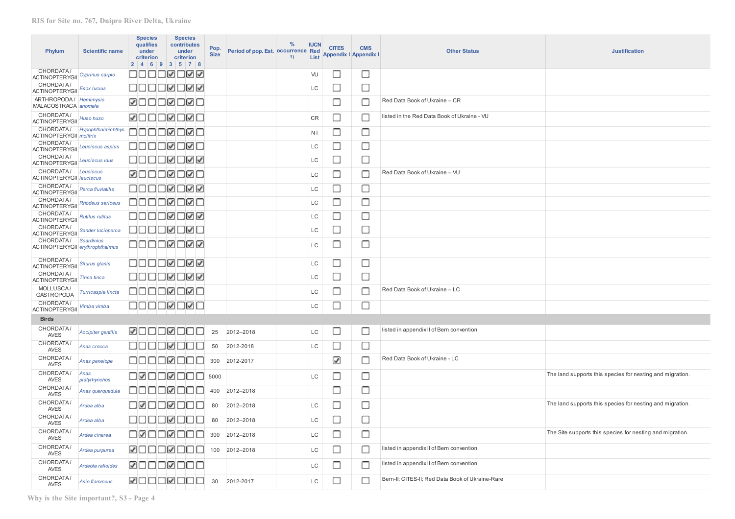| Phylum                                         | <b>Scientific name</b>    | <b>Species</b><br>qualifies<br>under<br>criterion | <b>Species</b><br>contributes<br>under<br>criterion<br>2   4   6   9   3   5   7   8 | Pop.<br><b>Size</b> | Period of pop. Est. Occurrence Red | $\frac{0}{0}$<br>1) | <b>IUCN</b><br>List | <b>CITES</b><br>Appendix I Appendix I | <b>CMS</b> | <b>Other Status</b>                              | <b>Justification</b>                                      |
|------------------------------------------------|---------------------------|---------------------------------------------------|--------------------------------------------------------------------------------------|---------------------|------------------------------------|---------------------|---------------------|---------------------------------------|------------|--------------------------------------------------|-----------------------------------------------------------|
| CHORDATA/<br><b>ACTINOPTERYGII</b>             | Cyprinus carpio           |                                                   | OOOO⊠OØØ                                                                             |                     |                                    |                     | VU                  | □                                     | □          |                                                  |                                                           |
| CHORDATA/<br><b>ACTINOPTERYGII</b>             | <b>Esox lucius</b>        |                                                   | OOOOØOØØ                                                                             |                     |                                    |                     | LC                  | О                                     | О          |                                                  |                                                           |
| ARTHROPODA / Hemimysis<br>MALACOSTRACA anomala |                           |                                                   | <b>ZOOOZOZO</b>                                                                      |                     |                                    |                     |                     | О                                     | О          | Red Data Book of Ukraine - CR                    |                                                           |
| CHORDATA/<br><b>ACTINOPTERYGII</b>             | Huso huso                 |                                                   | <b>ØOOOØOØO</b>                                                                      |                     |                                    |                     | CR                  | о                                     | О          | listed in the Red Data Book of Ukraine - VU      |                                                           |
| CHORDATA/<br><b>ACTINOPTERYGII</b> molitrix    | Hypophthalmichthys        |                                                   | 0000000                                                                              |                     |                                    |                     | <b>NT</b>           | о                                     | □          |                                                  |                                                           |
| CHORDATA/<br><b>ACTINOPTERYGII</b>             | Leuciscus aspius          |                                                   | 00000000                                                                             |                     |                                    |                     | LC                  | о                                     | О          |                                                  |                                                           |
| CHORDATA/<br><b>ACTINOPTERYGII</b>             | Leuciscus idus            |                                                   | QOOOØQ@@                                                                             |                     |                                    |                     | LC                  | Ω                                     | Ω          |                                                  |                                                           |
| CHORDATA/<br><b>ACTINOPTERYGII   Ieuciscus</b> | Leuciscus                 |                                                   | <b>ØOOOØOØO</b>                                                                      |                     |                                    |                     | LC                  | □                                     | о          | Red Data Book of Ukraine - VU                    |                                                           |
| CHORDATA/<br><b>ACTINOPTERYGII</b>             | Perca fluviatilis         |                                                   | ◨◨◨◻▨◻▨▨                                                                             |                     |                                    |                     | LC                  | о                                     | $\Box$     |                                                  |                                                           |
| CHORDATA/<br><b>ACTINOPTERYGII</b>             | <b>Rhodeus sericeus</b>   |                                                   | 0000000                                                                              |                     |                                    |                     | LC                  | □                                     | Ω          |                                                  |                                                           |
| CHORDATA/<br>ACTINOPTERYGII                    | Rutilus rutilus           |                                                   | ◨◻◻◻▨◻▨▨                                                                             |                     |                                    |                     | LC                  | □                                     | □          |                                                  |                                                           |
| CHORDATA/<br><b>ACTINOPTERYGII</b>             | Sander lucioperca         |                                                   | 0000000                                                                              |                     |                                    |                     | LC                  | О                                     | О          |                                                  |                                                           |
| CHORDATA/<br>ACTINOPTERYGII erythrophthalmus   | <b>Scardinius</b>         |                                                   | ◻◻◻◻▨◻▨▨                                                                             |                     |                                    |                     | LC                  | О                                     | О          |                                                  |                                                           |
| CHORDATA/<br><b>ACTINOPTERYGII</b>             | Silurus glanis            |                                                   | OOOOØOØØ                                                                             |                     |                                    |                     | LC                  | о                                     | О          |                                                  |                                                           |
| CHORDATA/<br><b>ACTINOPTERYGII</b>             | Tinca tinca               |                                                   | ◻◻◻◻◙◻▨▨                                                                             |                     |                                    |                     | LC                  | о                                     | □          |                                                  |                                                           |
| MOLLUSCA/<br><b>GASTROPODA</b>                 | Turricaspia lincta        |                                                   | 0000000                                                                              |                     |                                    |                     | LC                  | □                                     | □          | Red Data Book of Ukraine - LC                    |                                                           |
| CHORDATA/<br><b>ACTINOPTERYGII</b>             | Vimba vimba               |                                                   | OOOO <b>Ø</b> OØO                                                                    |                     |                                    |                     | LC                  | О                                     | О          |                                                  |                                                           |
| <b>Birds</b>                                   |                           |                                                   |                                                                                      |                     |                                    |                     |                     |                                       |            |                                                  |                                                           |
| CHORDATA/<br><b>AVES</b>                       | <b>Accipiter gentilis</b> |                                                   | <b>ØOOOØOOO</b>                                                                      | 25                  | 2012-2018                          |                     | LC                  | □                                     | □          | listed in appendix II of Bern convention         |                                                           |
| CHORDATA/<br>AVES                              | Anas crecca               |                                                   | 00000000                                                                             | 50                  | 2012-2018                          |                     | LC                  | Ω                                     | $\Box$     |                                                  |                                                           |
| CHORDATA/<br><b>AVES</b>                       | Anas penelope             |                                                   | 00000000                                                                             | 300                 | 2012-2017                          |                     |                     | ☑                                     | О          | Red Data Book of Ukraine - LC                    |                                                           |
| CHORDATA/<br><b>AVES</b>                       | Anas<br>platyrhynchos     |                                                   | 00000000                                                                             | 5000                |                                    |                     | LC                  | о                                     | $\Box$     |                                                  | The land supports this species for nesting and migration. |
| CHORDATA/<br><b>AVES</b>                       | Anas querquedula          |                                                   | 00000000                                                                             | 400                 | 2012-2018                          |                     |                     | о                                     | О          |                                                  |                                                           |
| CHORDATA/<br>AVES                              | Ardea alba                |                                                   | OØOOØOOO                                                                             | 80                  | 2012-2018                          |                     | LC                  | □                                     | □          |                                                  | The land supports this species for nesting and migration. |
| <b>CHORDATA</b><br><b>AVES</b>                 | Ardea alba                |                                                   | 00000000                                                                             | 80                  | 2012-2018                          |                     | LC                  | c                                     | О          |                                                  |                                                           |
| CHORDATA/<br><b>AVES</b>                       | Ardea cinerea             |                                                   | 00000000                                                                             | 300                 | 2012-2018                          |                     | LC                  | □                                     | □          |                                                  | The Site supports this species for nesting and migration. |
| CHORDATA/<br><b>AVES</b>                       | Ardea purpurea            |                                                   | <b>ØOOOØOOO</b>                                                                      | 100                 | 2012-2018                          |                     | LC                  | П                                     | □          | listed in appendix II of Bern convention         |                                                           |
| CHORDATA/<br><b>AVES</b>                       | Ardeola ralloides         |                                                   | <b>MOOOMOOO</b>                                                                      |                     |                                    |                     | LC                  | O                                     | □          | listed in appendix II of Bern convention         |                                                           |
| CHORDATA<br><b>AVES</b>                        | Asio flammeus             |                                                   | <b>ØOOOØOOO</b>                                                                      | 30                  | 2012-2017                          |                     | LC                  | П                                     | □          | Bern-II; CITES-II; Red Data Book of Ukraine-Rare |                                                           |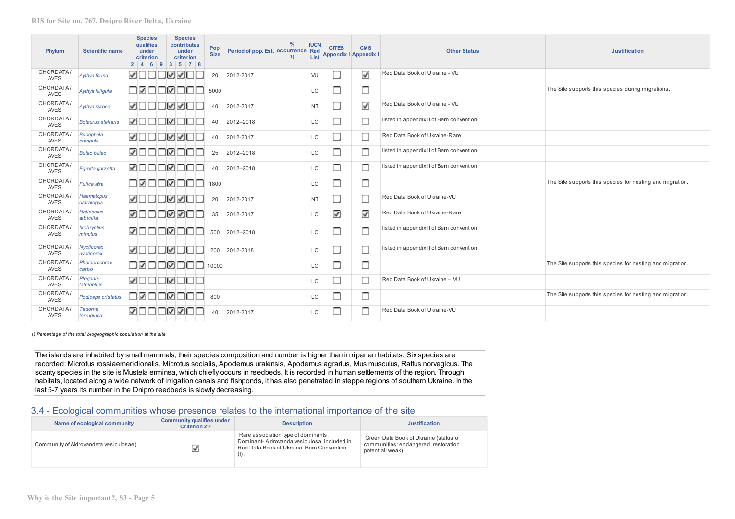| Phylum                   | <b>Scientific name</b>          | <b>Species</b><br><b>qualifies</b><br>under<br>criterion | <b>Species</b><br>contributes<br>under<br>criterion<br>2   4   6   9   3   5   7   8 | Pop.<br><b>Size</b> | Period of pop. Est. Occurrence Red | $\frac{0}{6}$<br><b>IUCN</b><br>1)<br>List | <b>CITES</b> | <b>CMS</b><br><b>Appendix I Appendix I</b> | <b>Other Status</b>                      | <b>Justification</b>                                      |
|--------------------------|---------------------------------|----------------------------------------------------------|--------------------------------------------------------------------------------------|---------------------|------------------------------------|--------------------------------------------|--------------|--------------------------------------------|------------------------------------------|-----------------------------------------------------------|
| CHORDATA/<br><b>AVES</b> | Aythya ferina                   | <b>ZOOOZZO</b> I                                         |                                                                                      | 20                  | 2012-2017                          | <b>VU</b>                                  | □            | ☑                                          | Red Data Book of Ukraine - VU            |                                                           |
| CHORDATA/<br><b>AVES</b> | Aythya fuligula                 | oøooøoo                                                  |                                                                                      | 5000                |                                    | LC                                         | □            | С                                          |                                          | The Site supports this species during migrations.         |
| CHORDATA/<br><b>AVES</b> | Aythya nyroca                   | <b>MOOOMMO</b> I                                         |                                                                                      | 40                  | 2012-2017                          | <b>NT</b>                                  | О            | ☑                                          | Red Data Book of Ukraine - VU            |                                                           |
| CHORDATA/<br><b>AVES</b> | <b>Botaurus stellaris</b>       | <b>ØOOOØOO</b> I                                         |                                                                                      | 40                  | 2012-2018                          | LC                                         | О            | С                                          | listed in appendix II of Bern convention |                                                           |
| CHORDATA/<br><b>AVES</b> | <b>Bucephala</b><br>clangula    | <b>ZOOOZZO</b>                                           |                                                                                      | 40                  | 2012-2017                          | LC                                         | □            | С                                          | Red Data Book of Ukraine-Rare            |                                                           |
| CHORDATA/<br><b>AVES</b> | <b>Buteo buteo</b>              | <b>MOOOMOO</b>                                           |                                                                                      | 25                  | 2012-2018                          | LC                                         | □            | С                                          | listed in appendix II of Bern convention |                                                           |
| CHORDATA/<br><b>AVES</b> | Egretta garzetta                | <b>ØOOOØOO</b>                                           |                                                                                      | 40                  | 2012-2018                          | LC                                         | П            | С                                          | listed in appendix II of Bern convention |                                                           |
| CHORDATA/<br><b>AVES</b> | Fulica atra                     | □Ø□□Ø□□                                                  |                                                                                      | 1800                |                                    | LC                                         | U            | С                                          |                                          | The Site supports this species for nesting and migration. |
| CHORDATA/<br><b>AVES</b> | Haematopus<br>ostralegus        | <b>MOOOMAO</b> I                                         |                                                                                      | 20                  | 2012-2017                          | <b>NT</b>                                  | О            | С                                          | Red Data Book of Ukraine-VU              |                                                           |
| CHORDATA/<br><b>AVES</b> | Haliaeetus<br>albicilla         | <b>ØOOOØØO</b> I                                         |                                                                                      | 35                  | 2012-2017                          | <b>LC</b>                                  | ☑            | ☑                                          | Red Data Book of Ukraine-Rare            |                                                           |
| CHORDATA<br><b>AVES</b>  | <b>Ixobrychus</b><br>minutus    | <b>ØOOOØOO</b> I                                         |                                                                                      | 500                 | 2012-2018                          | LC                                         | □            | С                                          | listed in appendix II of Bern convention |                                                           |
| CHORDATA/<br><b>AVES</b> | <b>Nycticorax</b><br>nycticorax |                                                          | <b>ØOOOØOOO</b>                                                                      | 200                 | 2012-2018                          | <b>LC</b>                                  | Ω            | С                                          | listed in appendix II of Bern convention |                                                           |
| CHORDATA/<br><b>AVES</b> | Phalacrocorax<br>carbo          |                                                          | 0000000                                                                              | 10000               |                                    | LC                                         | □            | С                                          |                                          | The Site supports this species for nesting and migration. |
| CHORDATA/<br><b>AVES</b> | Plegadis<br>falcinellus         |                                                          | <u> MOOOMOOO</u>                                                                     |                     |                                    | LC                                         | □            | Г                                          | Red Data Book of Ukraine - VU            |                                                           |
| CHORDATA/<br><b>AVES</b> | Podiceps cristatus              | onoonoo                                                  |                                                                                      | 800                 |                                    | LC                                         | □            | С                                          |                                          | The Site supports this species for nesting and migration. |
| CHORDATA/<br><b>AVES</b> | Tadorna<br>ferruginea           | <b>ZOOOZZO</b> I                                         |                                                                                      | 40                  | 2012-2017                          | LC                                         | □            | С                                          | Red Data Book of Ukraine-VU              |                                                           |

*1) Percentage of the total biogeographic population at the site*

The islands are inhabited by small mammals, their species composition and number is higher than in riparian habitats. Six species are recorded: Microtus rossiaemeridionalis, Microtus socialis, Apodemus uralensis, Apodemus agrarius, Mus musculus, Rattus norvegicus. The scanty species in the site is Mustela erminea, which chiefly occurs in reedbeds. It is recorded in human settlements of the region. Through habitats, located along a wide network of irrigation canals and fishponds, it has also penetrated in steppe regions of southern Ukraine. In the last 5-7 years its number in the Dnipro reedbeds is slowly decreasing.

# 3.4 - Ecological communities whose presence relates to the international importance of the site

| Name of ecological community           | <b>Community qualifies under</b><br><b>Criterion 2?</b> | <b>Description</b>                                                                                                                        | <b>Justification</b>                                                                              |
|----------------------------------------|---------------------------------------------------------|-------------------------------------------------------------------------------------------------------------------------------------------|---------------------------------------------------------------------------------------------------|
| Community of Aldrovandeta vesiculosae) |                                                         | Rare association type of dominants.<br>Dominant-Adrovanda vesiculosa, included in<br>Red Data Book of Ukraine, Bern Convention<br>$(I)$ . | Green Data Book of Ukraine (status of<br>communities: endangered, restoration<br>potential: weak) |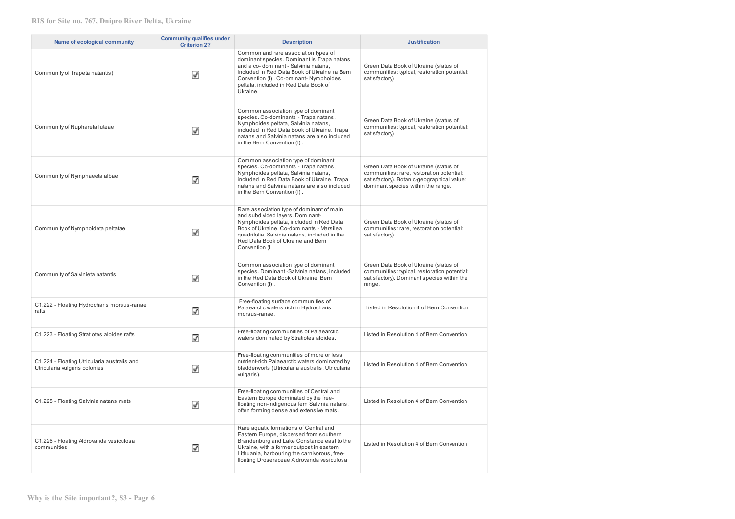| Name of ecological community                                                 | <b>Community qualifies under</b><br><b>Criterion 2?</b> | <b>Description</b>                                                                                                                                                                                                                                                           | <b>Justification</b>                                                                                                                                                   |
|------------------------------------------------------------------------------|---------------------------------------------------------|------------------------------------------------------------------------------------------------------------------------------------------------------------------------------------------------------------------------------------------------------------------------------|------------------------------------------------------------------------------------------------------------------------------------------------------------------------|
| Community of Trapeta natantis)                                               | $\blacktriangledown$                                    | Common and rare association types of<br>dominant species. Dominant is Trapa natans<br>and a co-dominant - Salvinia natans,<br>included in Red Data Book of Ukraine Ta Bern<br>Convention (I) . Co-ominant-Nymphoides<br>peltata, included in Red Data Book of<br>Ukraine.    | Green Data Book of Ukraine (status of<br>communities: typical, restoration potential:<br>satisfactory)                                                                 |
| Community of Nuphareta luteae                                                | ☑                                                       | Common association type of dominant<br>species. Co-dominants - Trapa natans,<br>Nymphoides peltata, Salvinia natans,<br>included in Red Data Book of Ukraine. Trapa<br>natans and Salvinia natans are also included<br>in the Bern Convention (I).                           | Green Data Book of Ukraine (status of<br>communities: typical, restoration potential:<br>satisfactory)                                                                 |
| Community of Nymphaeeta albae                                                | ☑                                                       | Common association type of dominant<br>species. Co-dominants - Trapa natans,<br>Nymphoides peltata, Salvinia natans,<br>included in Red Data Book of Ukraine. Trapa<br>natans and Salvinia natans are also included<br>in the Bern Convention (I).                           | Green Data Book of Ukraine (status of<br>communities: rare, restoration potential:<br>satisfactory). Botanic-geographical value:<br>dominant species within the range. |
| Community of Nymphoideta peltatae                                            | V                                                       | Rare association type of dominant of main<br>and subdivided layers. Dominant-<br>Nymphoides peltata, included in Red Data<br>Book of Ukraine, Co-dominants - Marsilea<br>quadrifolia, Salvinia natans, included in the<br>Red Data Book of Ukraine and Bern<br>Convention (I | Green Data Book of Ukraine (status of<br>communities: rare, restoration potential:<br>satisfactory).                                                                   |
| Community of Salvinieta natantis                                             | ☑                                                       | Common association type of dominant<br>species. Dominant-Salvinia natans, included<br>in the Red Data Book of Ukraine, Bern<br>Convention (I).                                                                                                                               | Green Data Book of Ukraine (status of<br>communities: typical, restoration potential:<br>satisfactory). Dominant species within the<br>range.                          |
| C1.222 - Floating Hydrocharis morsus-ranae<br>rafts                          | ☑                                                       | Free-floating surface communities of<br>Palaearctic waters rich in Hydrocharis<br>morsus-ranae.                                                                                                                                                                              | Listed in Resolution 4 of Bern Convention                                                                                                                              |
| C1.223 - Floating Stratiotes aloides rafts                                   | ☑                                                       | Free-floating communities of Palaearctic<br>waters dominated by Stratiotes aloides.                                                                                                                                                                                          | Listed in Resolution 4 of Bern Convention                                                                                                                              |
| C1.224 - Floating Utricularia australis and<br>Utricularia vulgaris colonies | ☑                                                       | Free-floating communities of more or less<br>nutrient-rich Palaearctic waters dominated by<br>bladderworts (Utricularia australis, Utricularia<br>vulgaris).                                                                                                                 | Listed in Resolution 4 of Bern Convention                                                                                                                              |
| C1.225 - Floating Salvinia natans mats                                       | ☑                                                       | Free-floating communities of Central and<br>Eastern Europe dominated by the free-<br>floating non-indigenous fern Salvinia natans,<br>often forming dense and extensive mats.                                                                                                | Listed in Resolution 4 of Bern Convention                                                                                                                              |
| C1.226 - Floating Aldrovanda vesiculosa<br>communities                       | ☑                                                       | Rare aquatic formations of Central and<br>Eastern Europe, dispersed from southern<br>Brandenburg and Lake Constance east to the<br>Ukraine, with a former outpost in eastern<br>Lithuania, harbouring the carnivorous, free-<br>floating Droseraceae Aldrovanda vesiculosa   | Listed in Resolution 4 of Bern Convention                                                                                                                              |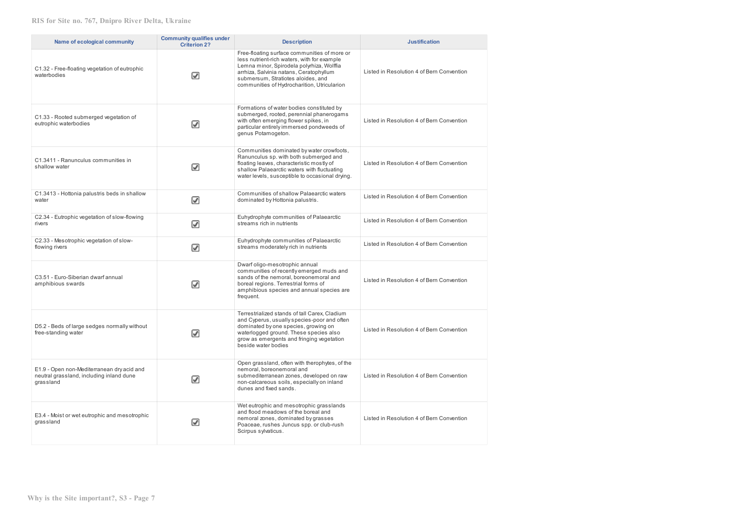| Name of ecological community                                                                        | <b>Community qualifies under</b><br><b>Criterion 2?</b> | <b>Description</b>                                                                                                                                                                                                                                                       | <b>Justification</b>                      |
|-----------------------------------------------------------------------------------------------------|---------------------------------------------------------|--------------------------------------------------------------------------------------------------------------------------------------------------------------------------------------------------------------------------------------------------------------------------|-------------------------------------------|
| C1.32 - Free-floating vegetation of eutrophic<br>waterbodies                                        | V                                                       | Free-floating surface communities of more or<br>less nutrient-rich waters, with for example<br>Lemna minor, Spirodela polyrhiza, Wolffia<br>arrhiza, Salvinia natans, Ceratophyllum<br>submersum, Stratiotes aloides, and<br>communities of Hydrocharition, Utricularion | Listed in Resolution 4 of Bern Convention |
| C1.33 - Rooted submerged vegetation of<br>eutrophic waterbodies                                     | ☑                                                       | Formations of water bodies constituted by<br>submerged, rooted, perennial phanerogams<br>with often emerging flower spikes, in<br>particular entirely immersed pondweeds of<br>genus Potamogeton.                                                                        | Listed in Resolution 4 of Bern Convention |
| C1.3411 - Ranunculus communities in<br>shallow water                                                | ☑                                                       | Communities dominated by water crowfoots,<br>Ranunculus sp. with both submerged and<br>floating leaves, characteristic mostly of<br>shallow Palaearctic waters with fluctuating<br>water levels, susceptible to occasional drying.                                       | Listed in Resolution 4 of Bern Convention |
| C1.3413 - Hottonia palustris beds in shallow<br>water                                               | ☑                                                       | Communities of shallow Palaearctic waters<br>dominated by Hottonia palustris.                                                                                                                                                                                            | Listed in Resolution 4 of Bern Convention |
| C2.34 - Eutrophic vegetation of slow-flowing<br>rivers                                              | ☑                                                       | Euhydrophyte communities of Palaearctic<br>streams rich in nutrients                                                                                                                                                                                                     | Listed in Resolution 4 of Bern Convention |
| C2.33 - Mesotrophic vegetation of slow-<br>flowing rivers                                           | ⊽                                                       | Euhydrophyte communities of Palaearctic<br>streams moderately rich in nutrients                                                                                                                                                                                          | Listed in Resolution 4 of Bern Convention |
| C3.51 - Euro-Siberian dwarf annual<br>amphibious swards                                             | V                                                       | Dwarf oligo-mesotrophic annual<br>communities of recently emerged muds and<br>sands of the nemoral, boreonemoral and<br>boreal regions. Terrestrial forms of<br>amphibious species and annual species are<br>frequent.                                                   | Listed in Resolution 4 of Bern Convention |
| D5.2 - Beds of large sedges normally without<br>free-standing water                                 | V                                                       | Terrestrialized stands of tall Carex, Cladium<br>and Cyperus, usually species-poor and often<br>dominated by one species, growing on<br>waterlogged ground. These species also<br>grow as emergents and fringing vegetation<br>beside water bodies                       | Listed in Resolution 4 of Bern Convention |
| E1.9 - Open non-Mediterranean dry acid and<br>neutral grassland, including inland dune<br>grassland | ☑                                                       | Open grassland, often with therophytes, of the<br>nemoral, boreonemoral and<br>submediterranean zones, developed on raw<br>non-calcareous soils, especially on inland<br>dunes and fixed sands.                                                                          | Listed in Resolution 4 of Bern Convention |
| E3.4 - Moist or wet eutrophic and mesotrophic<br>grassland                                          | V                                                       | Wet eutrophic and mesotrophic grasslands<br>and flood meadows of the boreal and<br>nemoral zones, dominated by grasses<br>Poaceae, rushes Juncus spp. or club-rush<br>Scirpus sylvaticus.                                                                                | Listed in Resolution 4 of Bern Convention |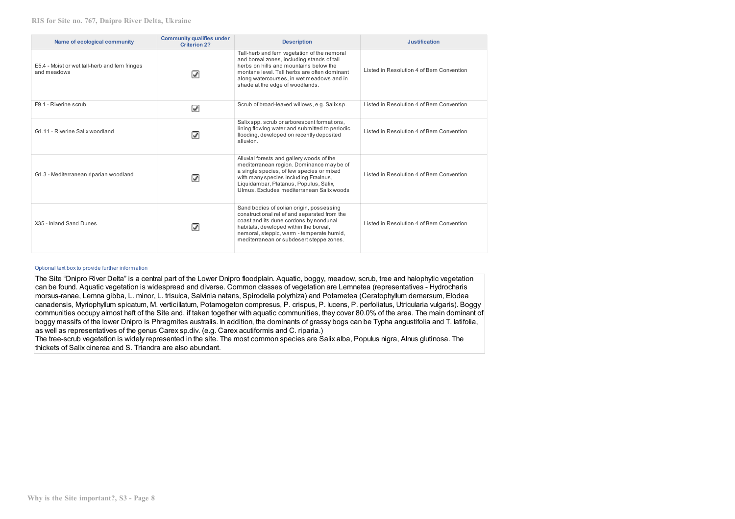| Name of ecological community                                  | <b>Community qualifies under</b><br><b>Criterion 2?</b> | <b>Description</b>                                                                                                                                                                                                                                                    | <b>Justification</b>                      |
|---------------------------------------------------------------|---------------------------------------------------------|-----------------------------------------------------------------------------------------------------------------------------------------------------------------------------------------------------------------------------------------------------------------------|-------------------------------------------|
| E5.4 - Moist or wet tall-herb and fern fringes<br>and meadows | $\blacktriangleright$                                   | Tall-herb and fern vegetation of the nemoral<br>and boreal zones, including stands of tall<br>herbs on hills and mountains below the<br>montane level. Tall herbs are often dominant<br>along watercourses, in wet meadows and in<br>shade at the edge of woodlands.  | Listed in Resolution 4 of Bern Convention |
| F9.1 - Riverine scrub                                         | ☑                                                       | Scrub of broad-leaved willows, e.g. Salix sp.                                                                                                                                                                                                                         | Listed in Resolution 4 of Bern Convention |
| G1.11 - Riverine Salix woodland                               | V                                                       | Salix spp. scrub or arborescent formations,<br>lining flowing water and submitted to periodic<br>flooding, developed on recently deposited<br>alluvion.                                                                                                               | Listed in Resolution 4 of Bern Convention |
| G1.3 - Mediterranean riparian woodland                        | ☑                                                       | Alluvial forests and gallery woods of the<br>mediterranean region. Dominance may be of<br>a single species, of few species or mixed<br>with many species including Fraxinus,<br>Liquidambar, Platanus, Populus, Salix,<br>Ulmus. Excludes mediterranean Salix woods   | Listed in Resolution 4 of Bern Convention |
| X35 - Inland Sand Dunes                                       | V                                                       | Sand bodies of eolian origin, possessing<br>constructional relief and separated from the<br>coast and its dune cordons by nondunal<br>habitats, developed within the boreal,<br>nemoral, steppic, warm - temperate humid,<br>mediterranean or subdesert steppe zones. | Listed in Resolution 4 of Bern Convention |

#### Optional text box to provide further information

The Site "Dnipro River Delta" is a central part of the Lower Dnipro floodplain. Aquatic, boggy, meadow, scrub, tree and halophytic vegetation can be found. Aquatic vegetation is widespread and diverse. Common classes of vegetation are Lemnetea (representatives - Hydrocharis morsus-ranae, Lemna gibba, L. minor, L. trisulca, Salvinia natans, Spirodella polyrhiza) and Potametea (Ceratophyllum demersum, Elodea canadensis, Myriophyllum spicatum, M. verticillatum, Potamogeton compresus, P. crispus, P. lucens, P. perfoliatus, Utricularia vulgaris). Boggy communities occupy almost haft of the Site and, if taken together with aquatic communities, they cover 80.0% of the area. The main dominant of boggy massifs of the lower Dnipro is Phragmites australis. In addition, the dominants of grassy bogs can be Typha angustifolia and T. latifolia, as well as representatives of the genus Carex sp.div. (e.g. Carex acutiformis and C. riparia.)

The tree-scrub vegetation is widely represented in the site. The most common species are Salix alba, Populus nigra, Alnus glutinosa. The thickets of Salix cinerea and S. Triandra are also abundant.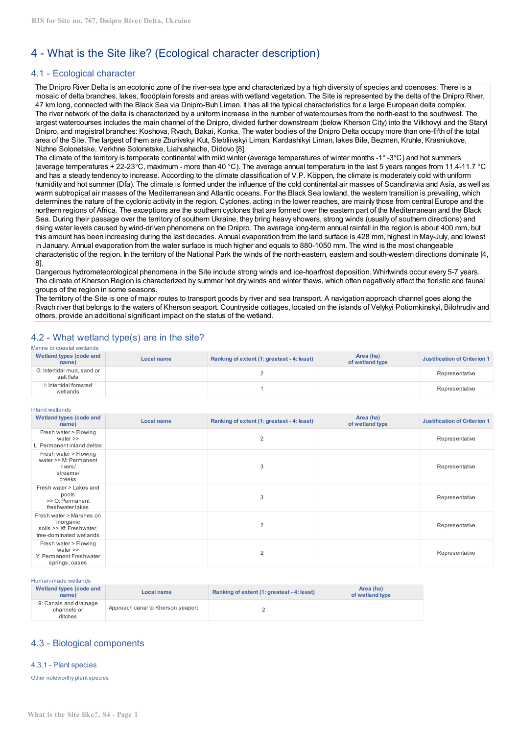# 4 - What is the Site like? (Ecological character description)

# 4.1 - Ecological character

The Dnipro River Delta is an ecotonic zone of the river-sea type and characterized by a high diversity of species and coenoses. There is a mosaic of delta branches, lakes, floodplain forests and areas with wetland vegetation. The Site is represented by the delta of the Dnipro River, 47 km long, connected with the Black Sea via Dnipro-Buh Liman. It has all the typical characteristics for a large European delta complex. The river network of the delta is characterized by a uniform increase in the number of watercourses from the north-east to the southwest. The largest watercourses includes the main channel of the Dnipro, divided further downstream (below Kherson City) into the Vilkhovyi and the Staryi Dnipro, and magistral branches: Koshova, Rvach, Bakai, Konka. The water bodies of the Dnipro Delta occupy more than one-fifth of the total area of the Site. The largest of them are Zburivskyi Kut, Stebliivskyi Liman, Kardashikyi Liman, lakes Bile, Bezmen, Kruhle, Krasniukove, Nizhne Solonetske, Verkhne Solonetske, Liahushache, Didovo [8].

The climate of the territory is temperate continental with mild winter (average temperatures of winter months -1° -3°C) and hot summers (average temperatures + 22-23°C, maximum - more than 40 °C). The average annual temperature in the last 5 years ranges from 11.4-11.7 °C and has a steady tendency to increase. According to the climate classification of V.P. Köppen, the climate is moderately cold with uniform humidity and hot summer (Dfa). The climate is formed under the influence of the cold continental air masses of Scandinavia and Asia, as well as warm subtropical air masses of the Mediterranean and Atlantic oceans. For the Black Sea lowland, the western transition is prevailing, which determines the nature of the cyclonic activity in the region. Cyclones, acting in the lower reaches, are mainly those from central Europe and the northern regions of Africa. The exceptions are the southern cyclones that are formed over the eastern part of the Mediterranean and the Black Sea. During their passage over the territory of southern Ukraine, they bring heavy showers, strong winds (usually of southern directions) and rising water levels caused by wind-driven phenomena on the Dnipro. The average long-term annual rainfall in the region is about 400 mm, but this amount has been increasing during the last decades. Annual evaporation from the land surface is 428 mm, highest in May-July, and lowest in January. Annual evaporation from the water surface is much higher and equals to 880-1050 mm. The wind is the most changeable characteristic of the region. In the territory of the National Park the winds of the north-eastern, eastern and south-western directions dominate [4, 8].

Dangerous hydrometeorological phenomena in the Site include strong winds and ice-hoarfrost deposition. Whirlwinds occur every 5-7 years. The climate of Kherson Region is characterized by summer hot dry winds and winter thaws, which often negatively affect the floristic and faunal groups of the region in some seasons.

The territory of the Site is one of major routes to transport goods by river and sea transport. A navigation approach channel goes along the Rvach river that belongs to the waters of Kherson seaport. Countryside cottages, located on the islands of Velykyi Potiomkinskyi, Bilohrudiv and others, provide an additional significant impact on the status of the wetland.

# 4.2 - What wetland type(s) are in the site?

|  | Marine or coastal wetlands |
|--|----------------------------|
|  |                            |

| Wetland types (code and<br>name)         | Local name | Ranking of extent (1: greatest - 4: least) | Area (ha)<br>of wetland type | Justification of Criterion 1 |
|------------------------------------------|------------|--------------------------------------------|------------------------------|------------------------------|
| G: Intertidal mud. sand or<br>salt flats |            |                                            |                              | Representative               |
| I: Intertidal forested<br>wetlands       |            |                                            |                              | Representative               |

#### Inland wetlands

| iniang wetlangs                                                                              |            |                                            |                              |                                     |
|----------------------------------------------------------------------------------------------|------------|--------------------------------------------|------------------------------|-------------------------------------|
| Wetland types (code and<br>name)                                                             | Local name | Ranking of extent (1: greatest - 4: least) | Area (ha)<br>of wetland type | <b>Justification of Criterion 1</b> |
| Fresh water > Flowing<br>water $\gg$<br>L: Permanent inland deltas                           |            | $\overline{2}$                             |                              | Representative                      |
| Fresh water > Flowing<br>water >> M: Permanent<br>rivers/<br>streams/<br>creeks              |            | 3                                          |                              | Representative                      |
| Fresh water > Lakes and<br>pools<br>>> O: Permanent<br>freshwater lakes                      |            | 3                                          |                              | Representative                      |
| Fresh water > Marshes on<br>inorganic<br>soils >> Xf: Freshwater,<br>tree-dominated wetlands |            | $\overline{2}$                             |                              | Representative                      |
| Fresh water > Flowing<br>water $\gg$<br>Y: Permanent Freshwater<br>springs; oases            |            | $\overline{2}$                             |                              | Representative                      |

Human-made wetlands

| Wetland types (code and<br>name)                 | Local name                        | Ranking of extent (1: greatest - 4: least) | Area (ha)<br>of wetland type |
|--------------------------------------------------|-----------------------------------|--------------------------------------------|------------------------------|
| 9: Canals and drainage<br>channels or<br>ditches | Approach canal to Kherson seaport |                                            |                              |

# 4.3 - Biological components

4.3.1 - Plant species

Other noteworthy plant species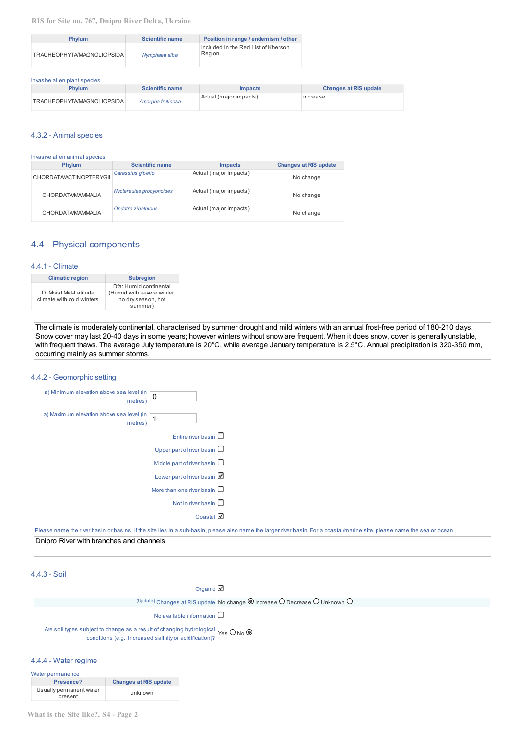**RIS for Site no. 767, Dnipro River Delta, Ukraine**

| <b>Phylum</b>              | <b>Scientific name</b> | Position in range / endemism / other           |
|----------------------------|------------------------|------------------------------------------------|
| TRACHEOPHYTA/MAGNOLIOPSIDA | Nymphaea alba          | Included in the Red List of Kherson<br>Region. |

| Invasive alien plant species |                        |                        |                              |  |
|------------------------------|------------------------|------------------------|------------------------------|--|
| <b>Phylum</b>                | <b>Scientific name</b> | <i>Impacts</i>         | <b>Changes at RIS update</b> |  |
| TRACHEOPHYTA/MAGNOLIOPSIDA   | Amorpha fruticosa      | Actual (major impacts) | increase                     |  |

#### 4.3.2 - Animal species

Invasive alien animal species

| <b>Phylum</b>            | <b>Scientific name</b>   | <b>Impacts</b>         | <b>Changes at RIS update</b> |
|--------------------------|--------------------------|------------------------|------------------------------|
| CHORDATA/ACTINOPTERYGII  | Carassius gibelio        | Actual (major impacts) | No change                    |
| <b>CHORDATA/MAMMALIA</b> | Nyctereutes procyonoides | Actual (major impacts) | No change                    |
| <b>CHORDATA/MAMMALIA</b> | Ondatra zibethicus       | Actual (major impacts) | No change                    |

# 4.4 - Physical components

#### 4.4.1 - Climate

| <b>Climatic region</b>                             | <b>Subregion</b>                                                                      |
|----------------------------------------------------|---------------------------------------------------------------------------------------|
| D: Moist Mid-Latitude<br>climate with cold winters | Dfa: Humid continental<br>(Humid with severe winter,<br>no dry season, hot<br>summer) |

The climate is moderately continental, characterised by summer drought and mild winters with an annual frost-free period of 180-210 days. Snow cover may last 20-40 days in some years; however winters without snow are frequent. When it does snow, cover is generally unstable, with frequent thaws. The average July temperature is 20°C, while average January temperature is 2.5°C. Annual precipitation is 320-350 mm, occurring mainly as summer storms.

## 4.4.2 - Geomorphic setting

| a) Minimum elevation above sea level (in<br>0<br>metres) |  |
|----------------------------------------------------------|--|
| a) Maximum elevation above sea level (in<br>1<br>metres) |  |
| Entire river basin                                       |  |
| Upper part of river basin $\Box$                         |  |
| Middle part of river basin $\Box$                        |  |
| Lower part of river basin                                |  |
| More than one river basin                                |  |
| Not in river basin                                       |  |
| Coastal                                                  |  |
|                                                          |  |

Please name the river basin or basins. If the site lies in a sub-basin, please also name the larger river basin. For a coastal/marine site, please name the sea or ocean.

Dnipro River with branches and channels

# 4.4.3 - Soil

Organic Z

 $U_{\text{P}}$ <sup>(Update)</sup> Changes at RIS update No change  $\textcircled{\small{}}$  Increase  $\textcircled{\small{}}$  Decrease  $\textcircled{\small{}}$  Unknown  $\textcircled{\small{}}$ 

No available information  $\square$ 

Are soil types subject to change as a result of changing hydrological  $Y$ es  $\bigcirc$  No conditions (e.g., increased salinity or acidification)?

# 4.4.4 - Water regime

| Water permanence                   |                              |  |
|------------------------------------|------------------------------|--|
| Presence?                          | <b>Changes at RIS update</b> |  |
| Usually permanent water<br>present | unknown                      |  |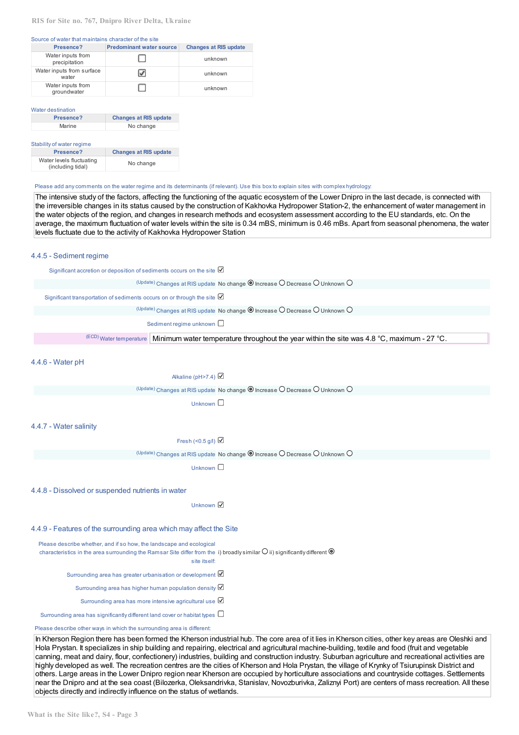#### **RIS for Site no. 767, Dnipro River Delta, Ukraine**

#### Source of water that maintains character of the site

| Presence?                          | <b>Predominant water source</b> | <b>Changes at RIS update</b> |
|------------------------------------|---------------------------------|------------------------------|
| Water inputs from<br>precipitation |                                 | unknown                      |
| Water inputs from surface<br>water | ✔                               | unknown                      |
| Water inputs from<br>groundwater   |                                 | unknown                      |

#### Water destination

| <b>Changes at RIS update</b> |  |
|------------------------------|--|
| No change                    |  |
|                              |  |
|                              |  |

| Stability of water regime                     |                              |  |  |  |
|-----------------------------------------------|------------------------------|--|--|--|
| Presence?                                     | <b>Changes at RIS update</b> |  |  |  |
| Water levels fluctuating<br>(including tidal) | No change                    |  |  |  |

#### Please add anycomments on the water regime and its determinants (if relevant). Use this boxto explain sites with complex hydrology:

The intensive study of the factors, affecting the functioning of the aquatic ecosystem of the Lower Dnipro in the last decade, is connected with the irreversible changes in its status caused by the construction of Kakhovka Hydropower Station-2, the enhancement of water management in the water objects of the region, and changes in research methods and ecosystem assessment according to the EU standards, etc. On the average, the maximum fluctuation of water levels within the site is 0.34 mBS, minimum is 0.46 mBs. Apart from seasonal phenomena, the water levels fluctuate due to the activity of Kakhovka Hydropower Station

#### 4.4.5 - Sediment regime

Significant accretion or deposition of sediments occurs on the site  $U_{\text{P}}$ <sup>(Update)</sup> Changes at RIS update No change  $\textcircled{\small{a}}$  Increase  $\textcircled{\small{b}}$  Decrease  $\textcircled{\small{b}}$  Unknown  $\textcircled{\small{b}}$ Significant transportation of sediments occurs on or through the site  $\boxtimes$  $U_{\text{P}}$ <sup>(Update)</sup> Changes at RIS update No change  $\textcircled{\small{P}}$  Increase  $\textcircled{\small{P}}$  Decrease  $\textcircled{\small{P}}$  Unknown  $\textcircled{\small{P}}$ Sediment regime unknown  $\square$ (ECD) Water temperature Minimum water temperature throughout the year within the site was 4.8 °С, maximum - 27 °С.

4.4.6 - Water pH

#### Alkaline (pH>7.4)

 $U_{\text{P}}$ <sup>(Update)</sup> Changes at RIS update No change  $\textcircled{1}$  Increase  $\textcircled{2}$  Decrease  $\textcircled{1}$  Unknown  $\textcircled{1}$ 

Unknown  $\square$ 

#### 4.4.7 - Water salinity

Fresh (<0.5 g/l)  $\boxtimes$ 

 $U_{\text{P}}$ <sup>(Update)</sup> Changes at RIS update No change  $\textcircled{\small{o}}$  Increase  $\textcircled{\small{o}}$  Decrease  $\textcircled{\small{o}}$  Unknown  $\textcircled{\small{o}}$ 

Unknown  $\Box$ 

#### 4.4.8 - Dissolved or suspended nutrients in water

Unknown <del>■</del>

#### 4.4.9 - Features of the surrounding area which may affect the Site

Please describe whether, and if so how, the landscape and ecological

characteristics in the area surrounding the Ramsar Site differ from the  $\,$ i) broadly $\,$ similar $\,$ U $\,$ ii) $\,$ significantly $\,$ different

site itself:

Surrounding area has greater urbanisation or development  $\boxtimes$ 

Surrounding area has higher human population density

Surrounding area has more intensive agricultural use  $\boxtimes$ 

Surrounding area has significantly different land cover or habitat types  $\Box$ 

#### Please describe other ways in which the surrounding area is different:

In Kherson Region there has been formed the Kherson industrial hub. The core area of it lies in Kherson cities, other key areas are Oleshki and Hola Prystan. It specializes in ship building and repairing, electrical and agricultural machine-building, textile and food (fruit and vegetable canning, meat and dairy, flour, confectionery) industries, building and construction industry. Suburban agriculture and recreational activities are highly developed as well. The recreation centres are the cities of Kherson and Hola Prystan, the village of Krynky of Tsiurupinsk District and others. Large areas in the Lower Dnipro region near Kherson are occupied by horticulture associations and countryside cottages. Settlements near the Dnipro and at the sea coast (Bilozerka, Oleksandrivka, Stanislav, Novozburivka, Zaliznyi Port) are centers of mass recreation. All these objects directly and indirectly influence on the status of wetlands.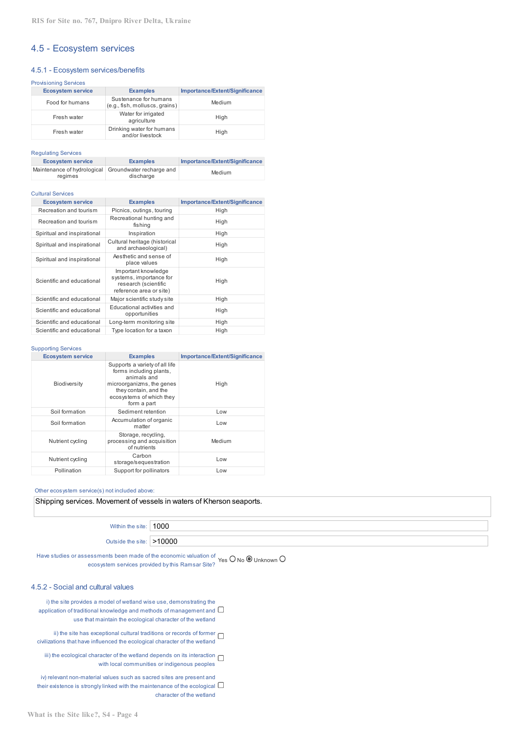# 4.5 - Ecosystem services

#### 4.5.1 - Ecosystem services/benefits

| <b>Provisioning Services</b> |                          |                                                         |                                |  |  |  |
|------------------------------|--------------------------|---------------------------------------------------------|--------------------------------|--|--|--|
|                              | <b>Ecosystem service</b> | <b>Examples</b>                                         | Importance/Extent/Significance |  |  |  |
|                              | Food for humans          | Sustenance for humans<br>(e.g., fish, molluscs, grains) | Medium                         |  |  |  |
|                              | Fresh water              | Water for irrigated<br>agriculture                      | High                           |  |  |  |
|                              | Fresh water              | Drinking water for humans<br>and/or livestock           | High                           |  |  |  |

Regulating Services

| <b>Ecosystem service</b> | <b>Examples</b>                                                   | Importance/Extent/Significance |
|--------------------------|-------------------------------------------------------------------|--------------------------------|
| regimes                  | Maintenance of hydrological Groundwater recharge and<br>discharge | Medium                         |

#### Cultural Services

| <b>Ecosystem service</b>    | <b>Examples</b>                                                                                   | Importance/Extent/Significance |
|-----------------------------|---------------------------------------------------------------------------------------------------|--------------------------------|
| Recreation and tourism      | Picnics, outings, touring                                                                         | High                           |
| Recreation and tourism      | Recreational hunting and<br>fishing                                                               | High                           |
| Spiritual and inspirational | Inspiration                                                                                       | High                           |
| Spiritual and inspirational | Cultural heritage (historical<br>and archaeological)                                              | High                           |
| Spiritual and inspirational | Aesthetic and sense of<br>place values                                                            | High                           |
| Scientific and educational  | Important knowledge<br>systems, importance for<br>research (scientific<br>reference area or site) | High                           |
| Scientific and educational  | Major scientific study site                                                                       | High                           |
| Scientific and educational  | Educational activities and<br>opportunities                                                       | High                           |
| Scientific and educational  | Long-term monitoring site                                                                         | High                           |
| Scientific and educational  | Type location for a taxon                                                                         | High                           |

#### Supporting Services

| <b>Ecosystem service</b> | <b>Examples</b>                                                                                                                                                           | Importance/Extent/Significance |  |  |
|--------------------------|---------------------------------------------------------------------------------------------------------------------------------------------------------------------------|--------------------------------|--|--|
| Biodiversity             | Supports a variety of all life<br>forms including plants,<br>animals and<br>microorganizms, the genes<br>they contain, and the<br>ecosystems of which they<br>form a part | High                           |  |  |
| Soil formation           | Sediment retention                                                                                                                                                        | Low                            |  |  |
| Soil formation           | Accumulation of organic<br>matter                                                                                                                                         | Low                            |  |  |
| Nutrient cycling         | Storage, recycling,<br>processing and acquisition<br>of nutrients                                                                                                         | Medium                         |  |  |
| Nutrient cycling         | Carbon<br>storage/sequestration                                                                                                                                           | Low                            |  |  |
| Pollination              | Support for pollinators                                                                                                                                                   | Low                            |  |  |

## Other ecosystem service(s) not included above:

Shipping services. Movement of vessels in waters of Kherson seaports.

Within the site: 1000

Outside the site: >10000

Have studies or assessments been made of the economic valuation of  $\gamma_{\rm {es}}$  O No  $\bullet$  Unknown ( ecosystem services provided bythis Ramsar Site?

#### 4.5.2 - Social and cultural values

i) the site provides a model of wetland wise use, demonstrating the application of traditional knowledge and methods of management and  $\square$ use that maintain the ecological character of the wetland

ii) the site has exceptional cultural traditions or records of former  $\Box$ civilizations that have influenced the ecological character of the wetland

iii) the ecological character of the wetland depends on its interaction  $\Box$ with local communities or indigenous peoples

iv) relevant non-material values such as sacred sites are present and their existence is strongly linked with the maintenance of the ecological  $\Box$ character of the wetland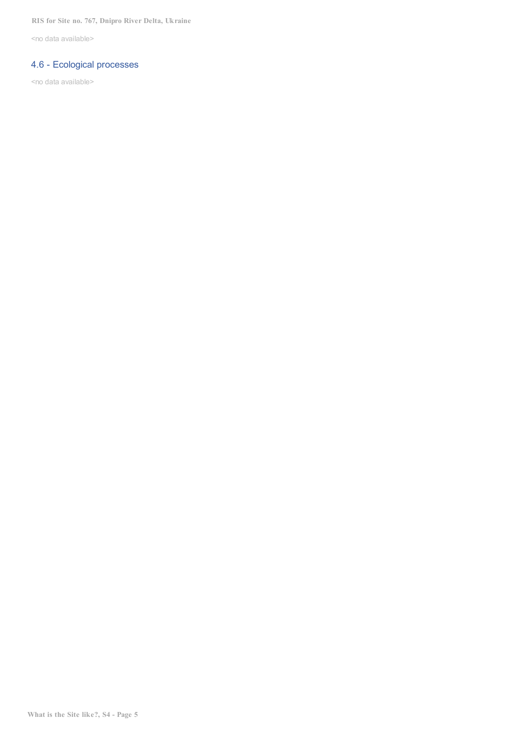<no data available>

# 4.6 - Ecological processes

<no data available>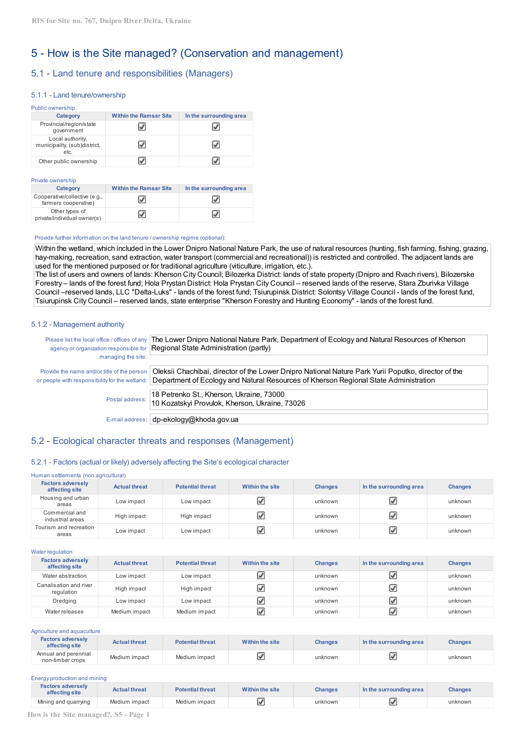# 5 - How is the Site managed? (Conservation and management)

# 5.1 - Land tenure and responsibilities (Managers)

#### 5.1.1 - Land tenure/ownership

| Public ownership                                         |                               |                         |  |  |  |  |  |
|----------------------------------------------------------|-------------------------------|-------------------------|--|--|--|--|--|
| <b>Category</b>                                          | <b>Within the Ramsar Site</b> | In the surrounding area |  |  |  |  |  |
| Provincial/region/state<br>government                    |                               |                         |  |  |  |  |  |
| Local authority,<br>municipality, (sub)district,<br>etc. |                               |                         |  |  |  |  |  |
| Other public ownership                                   |                               |                         |  |  |  |  |  |

#### Private ownership

| Category                                              | <b>Within the Ramsar Site</b> | In the surrounding area |
|-------------------------------------------------------|-------------------------------|-------------------------|
| Cooperative/collective (e.g.,<br>farmers cooperative) |                               |                         |
| Other types of<br>private/individual owner(s)         |                               |                         |

#### Provide further information on the land tenure / ownership regime (optional):

Within the wetland, which included in the Lower Dnipro National Nature Park, the use of natural resources (hunting, fish farming, fishing, grazing, hay-making, recreation, sand extraction, water transport (commercial and recreational)) is restricted and controlled. The adjacent lands are used for the mentioned purposed or for traditional agriculture (viticulture, irrigation, etc.).

The list of users and owners of lands: Kherson City Council; Bilozerka District: lands of state property (Dnipro and Rvach rivers), Bilozerske Forestry – lands of the forest fund; Hola Prystan District: Hola Prystan City Council – reserved lands of the reserve, Stara Zburivka Village Council –reserved lands, LLC "Delta-Luks" - lands of the forest fund; Tsiurupinsk District: Solontsy Village Council - lands of the forest fund, Tsiurupinsk City Council – reserved lands, state enterprise "Kherson Forestry and Hunting Economy" - lands of the forest fund.

#### 5.1.2 - Management authority

| managing the site:                                                                            | Please list the local office / offices of any  The Lower Dnipro National Nature Park, Department of Ecology and Natural Resources of Kherson<br>agency or organization responsible for Regional State Administration (partly) |
|-----------------------------------------------------------------------------------------------|-------------------------------------------------------------------------------------------------------------------------------------------------------------------------------------------------------------------------------|
| Provide the name and/or title of the person<br>or people with responsibility for the wetland: | Oleksii Chachibai, director of the Lower Dnipro National Nature Park Yurii Poputko, director of the<br>Department of Ecology and Natural Resources of Kherson Regional State Administration                                   |
| Postal address:                                                                               | 18 Petrenko St., Kherson, Ukraine, 73000<br>10 Kozatskyi Provulok, Kherson, Ukraine, 73026                                                                                                                                    |
|                                                                                               | E-mail address:   dp-ekology@khoda.gov.ua                                                                                                                                                                                     |

# 5.2 - Ecological character threats and responses (Management)

#### 5.2.1 - Factors (actual or likely) adversely affecting the Site's ecological character

#### Human settlements (non agricultural) **Factors adversely affecting site Actual threat Potential threat Within the site Changes In the surrounding area Changes** Housing and urban areas Low impact Low impact unknown unknown Commercial and الله الساعة (High impact | High impact | Migh impact | الله unknown | الله unknown unknown unknown unknown unknown Tourism and recreation areas Low impact Low impact unknown unknown

Water regulation

| <b>Factors adversely</b><br>affecting site | <b>Actual threat</b> | <b>Potential threat</b> | Within the site | <b>Changes</b> | In the surrounding area | <b>Changes</b> |
|--------------------------------------------|----------------------|-------------------------|-----------------|----------------|-------------------------|----------------|
| Water abstraction                          | Low impact           | Low impact              |                 | unknown        | ☑                       | unknown        |
| Canalisation and river<br>regulation       | High impact          | High impact             | √               | unknown        | ☑                       | unknown        |
| Dredging                                   | Low impact           | Low impact              |                 | unknown        | ☑                       | unknown        |
| Water releases                             | Medium impact        | Medium impact           |                 | unknown        | ☑                       | unknown        |

| Agriculture and aguaculture                |                      |                         |                 |                |                         |                |
|--------------------------------------------|----------------------|-------------------------|-----------------|----------------|-------------------------|----------------|
| <b>Factors adversely</b><br>affecting site | <b>Actual threat</b> | <b>Potential threat</b> | Within the site | <b>Changes</b> | In the surrounding area | <b>Changes</b> |
| Annual and perennial<br>non-timber crops   | Medium impact        | Medium impact           |                 | unknown        |                         | unknown        |

| Energy production and mining               |                      |                         |                 |                |                         |                |
|--------------------------------------------|----------------------|-------------------------|-----------------|----------------|-------------------------|----------------|
| <b>Factors adversely</b><br>affecting site | <b>Actual threat</b> | <b>Potential threat</b> | Within the site | <b>Changes</b> | In the surrounding area | <b>Changes</b> |
| Mining and quarrying                       | Medium impact        | Medium impact           |                 | unknown        |                         | unknown        |

**How is the Site managed?, S5 - Page 1**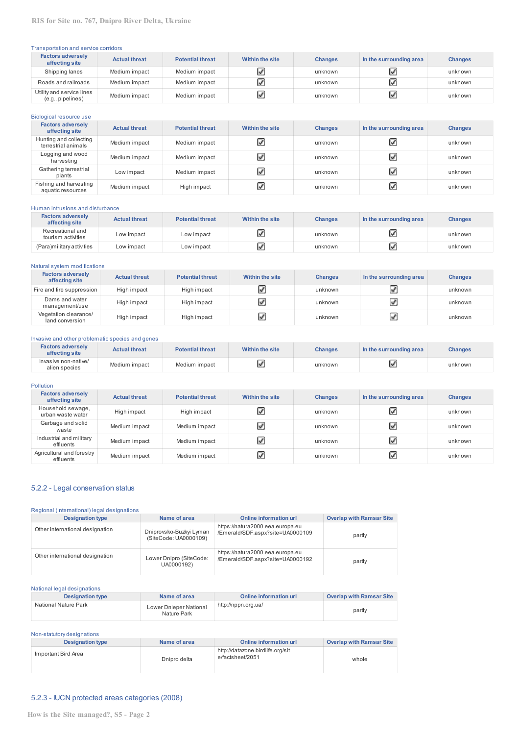## Transportation and service corridors

| <b>Factors adversely</b><br>affecting site     | <b>Actual threat</b> | <b>Potential threat</b> | Within the site | <b>Changes</b> | In the surrounding area | <b>Changes</b> |
|------------------------------------------------|----------------------|-------------------------|-----------------|----------------|-------------------------|----------------|
| Shipping lanes                                 | Medium impact        | Medium impact           |                 | unknown        | ☑                       | unknown        |
| Roads and railroads                            | Medium impact        | Medium impact           |                 | unknown        | ☑                       | unknown        |
| Utility and service lines<br>(e.g., pipelines) | Medium impact        | Medium impact           |                 | unknown        | ☑                       | unknown        |

| Biological resource use                       |                      |                         |                 |                |                         |                |
|-----------------------------------------------|----------------------|-------------------------|-----------------|----------------|-------------------------|----------------|
| <b>Factors adversely</b><br>affecting site    | <b>Actual threat</b> | <b>Potential threat</b> | Within the site | <b>Changes</b> | In the surrounding area | <b>Changes</b> |
| Hunting and collecting<br>terrestrial animals | Medium impact        | Medium impact           | ⊽               | unknown        | V                       | unknown        |
| Logging and wood<br>harvesting                | Medium impact        | Medium impact           | ☑               | unknown        | ☑                       | unknown        |
| Gathering terrestrial<br>plants               | Low impact           | Medium impact           | ☑               | unknown        | V                       | unknown        |
| Fishing and harvesting<br>aquatic resources   | Medium impact        | High impact             | $\mathcal{F}$   | unknown        | V                       | unknown        |

#### Human intrusions and disturbance

| <b>Factors adversely</b><br>affecting site | <b>Actual threat</b> | <b>Potential threat</b> | Within the site | <b>Changes</b> | In the surrounding area | <b>Changes</b> |
|--------------------------------------------|----------------------|-------------------------|-----------------|----------------|-------------------------|----------------|
| Recreational and<br>tourism activities     | Low impact           | Low impact              |                 | unknown        | V                       | unknown        |
| (Para)military activities                  | Low impact           | Low impact              |                 | unknown        | ピ                       | unknown        |

#### Natural system modifications

| <b>Factors adversely</b><br>affecting site | <b>Actual threat</b> | <b>Potential threat</b> | <b>Within the site</b> | <b>Changes</b> | In the surrounding area | <b>Changes</b> |
|--------------------------------------------|----------------------|-------------------------|------------------------|----------------|-------------------------|----------------|
| Fire and fire suppression                  | High impact          | High impact             |                        | unknown        | ✔                       | unknown        |
| Dams and water<br>management/use           | High impact          | High impact             |                        | unknown        | ☑                       | unknown        |
| Vegetation clearance/<br>land conversion   | High impact          | High impact             |                        | unknown        | ☑                       | unknown        |

#### Invasive and other problematic species and genes **Factors adversely a Actual threat Potential threat Within the site Changes In the surrounding area Changes** Invasive non-native/ alien species Medium impact Medium impact Medium impact unknown unknown unknown unknown unknown unknown unknown

#### Pollution **Factors adversely affecting site Actual threat Potential threat Within the site Changes In the surrounding area Changes** Household sewage,<br>urban waste water urban waste water High impact High impact High impact Unknown unknown Unknown Unknown unknown unknown unknown Garbage and solid yce and sond Medium impact Medium impact in Medium impact in the Muslim of Muslim and Muslim unknown unknown unknown<br>waste Industrial and military effluents Medium impact Medium impact in Medium impact unknown unknown unknown unknown unknown unknown unknown Agricultural and forestry urairain in Medium impact Medium impact wedium impact unknown unknown unknown unknown unknown unknown unknown

## 5.2.2 - Legal conservation status

#### Regional (international) legal designations

| <b>Designation type</b>         | Name of area                                     | <b>Online information url</b>                                        | <b>Overlap with Ramsar Site</b> |
|---------------------------------|--------------------------------------------------|----------------------------------------------------------------------|---------------------------------|
| Other international designation | Dniprovsko-Buzkyi Lyman<br>(SiteCode: UA0000109) | https://natura2000.eea.europa.eu<br>/Emerald/SDF.aspx?site=UA0000109 | partly                          |
| Other international designation | Lower Dnipro (SiteCode:<br>UA0000192)            | https://natura2000.eea.europa.eu<br>/Emerald/SDF.aspx?site=UA0000192 | partly                          |

#### National legal designations

| <b>Designation type</b> | Name of area                          | <b>Online information url</b> | <b>Overlap with Ramsar Site</b> |
|-------------------------|---------------------------------------|-------------------------------|---------------------------------|
| National Nature Park    | Lower Dnieper National<br>Nature Park | http://nppn.org.ua/           | partly                          |

# Non-statutory designations

| <b>Designation type</b> | Name of area | Online information url                               | <b>Overlap with Ramsar Site</b> |
|-------------------------|--------------|------------------------------------------------------|---------------------------------|
| Important Bird Area     | Dnipro delta | http://datazone.birdlife.org/sit<br>e/factsheet/2051 | whole                           |

# 5.2.3 - IUCN protected areas categories (2008)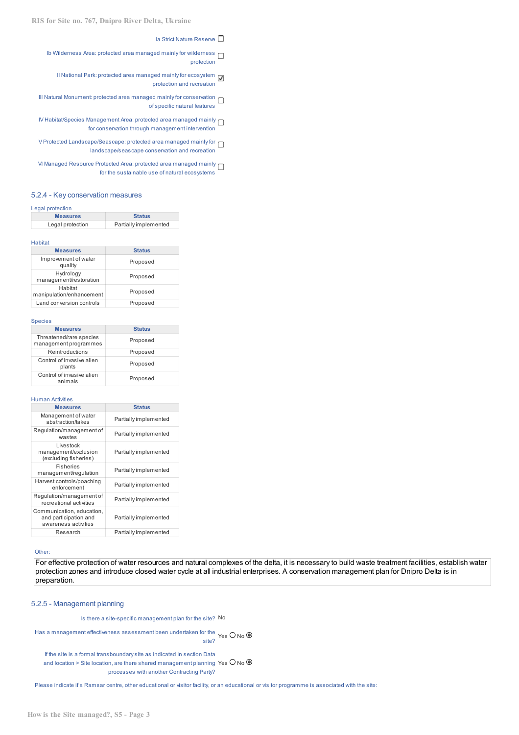la Strict Nature Reserve  $\Box$ 

- Ib Wilderness Area: protected area managed mainly for wilderness  $\Box$ protection
	- II National Park: protected area managed mainly for ecosystem protection and recreation
- III Natural Monument: protected area managed mainly for conservation of specific natural features
- IV Habitat/Species Management Area: protected area managed mainly for conservation through management intervention
- V Protected Landscape/Seascape: protected area managed mainly for  $\square$ landscape/seascape conservation and recreation
- VI Managed Resource Protected Area: protected area managed mainly for the sustainable use of natural ecosystems

## 5.2.4 - Key conservation measures

#### Legal protection

| <b>Measures</b>  | <b>Status</b>         |
|------------------|-----------------------|
| Legal protection | Partially implemented |

#### Habitat

| <b>Measures</b>                     | <b>Status</b> |
|-------------------------------------|---------------|
| Improvement of water<br>quality     | Proposed      |
| Hydrology<br>management/restoration | Proposed      |
| Habitat<br>manipulation/enhancement | Proposed      |
| Land conversion controls            | Proposed      |

#### Species

| <b>Measures</b>                                  | <b>Status</b> |
|--------------------------------------------------|---------------|
| Threatened/rare species<br>management programmes | Proposed      |
| Reintroductions                                  | Proposed      |
| Control of invasive alien<br>plants              | Proposed      |
| Control of invasive alien<br>animals             | Proposed      |

#### Human Activities

| <b>Measures</b>                                                            | <b>Status</b>         |
|----------------------------------------------------------------------------|-----------------------|
| Management of water<br>abstraction/takes                                   | Partially implemented |
| Regulation/management of<br>wastes                                         | Partially implemented |
| Livestock<br>management/exclusion<br>(excluding fisheries)                 | Partially implemented |
| Fisheries<br>management/regulation                                         | Partially implemented |
| Harvest controls/poaching<br>enforcement                                   | Partially implemented |
| Regulation/management of<br>recreational activities                        | Partially implemented |
| Communication, education,<br>and participation and<br>awareness activities | Partially implemented |
| Research                                                                   | Partially implemented |

#### Other:

For effective protection of water resources and natural complexes of the delta, it is necessary to build waste treatment facilities, establish water protection zones and introduce closed water cycle at all industrial enterprises. A conservation management plan for Dnipro Delta is in preparation.

#### 5.2.5 - Management planning

Is there a site-specific management plan for the site? No

Has a management effectiveness assessment been undertaken for the Yes  $O$  No ( site?

If the site is a formal transboundarysite as indicated in section Data and location > Site location, are there shared management planning Yes  $\bigcup$  No  $^{\mathfrak l}$ processes with another Contracting Party?

Please indicate if a Ramsar centre, other educational or visitor facility, or an educational or visitor programme is associated with the site: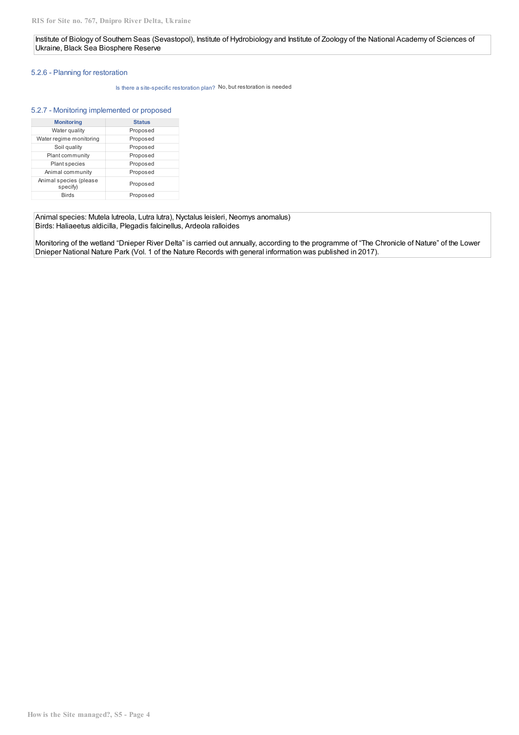## Institute of Biology of Southern Seas (Sevastopol), Institute of Hydrobiology and Institute of Zoology of the National Academy of Sciences of Ukraine, Black Sea Biosphere Reserve

## 5.2.6 - Planning for restoration

Is there a site-specific restoration plan? No, but restoration is needed

## 5.2.7 - Monitoring implemented or proposed

| <b>Monitoring</b>                  | <b>Status</b> |
|------------------------------------|---------------|
| Water quality                      | Proposed      |
| Water regime monitoring            | Proposed      |
| Soil quality                       | Proposed      |
| Plant community                    | Proposed      |
| <b>Plant species</b>               | Proposed      |
| Animal community                   | Proposed      |
| Animal species (please<br>specify) | Proposed      |
| <b>Birds</b>                       | Proposed      |

Animal species: Mutela lutreola, Lutra lutra), Nyctalus leislеri, Neomys anomalus) Birds: Haliaeetus aldicilla, Plegadis falcinellus, Ardeola ralloides

Monitoring of the wetland "Dnieper River Delta" is carried out annually, according to the programme of "The Chronicle of Nature" of the Lower Dnieper National Nature Park (Vol. 1 of the Nature Records with general information was published in 2017).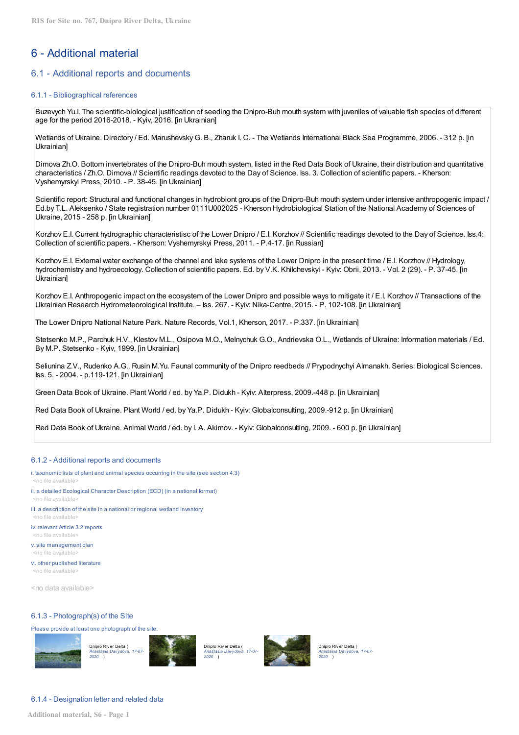# 6 - Additional material

# 6.1 - Additional reports and documents

#### 6.1.1 - Bibliographical references

Buzevych Yu.I. The scientific-biological justification of seeding the Dnipro-Buh mouth system with juveniles of valuable fish species of different age for the period 2016-2018. - Kyiv, 2016. [in Ukrainian]

Wetlands of Ukraine. Directory / Ed. Marushevsky G. B., Zharuk I. C. - The Wetlands International Black Sea Programme, 2006. - 312 p. [in Ukrainian]

Dimova Zh.O. Bottom invertebrates of the Dnipro-Buh mouth system, listed in the Red Data Book of Ukraine, their distribution and quantitative characteristics / Zh.O. Dimova // Scientific readings devoted to the Day of Science. Iss. 3. Collection of scientific papers. - Kherson: Vyshemyrskyi Press, 2010. - P. 38-45. [in Ukrainian]

Scientific report: Structural and functional changes in hydrobiont groups of the Dnipro-Buh mouth system under intensive anthropogenic impact / Ed.by T.L. Aleksenko / State registration number 0111U002025 - Kherson Hydrobiological Station of the National Academy of Sciences of Ukraine, 2015 - 258 p. [in Ukrainian]

Korzhov E.I. Current hydrographic characteristisc of the Lower Dnipro / E.I. Korzhov // Scientific readings devoted to the Day of Science. Iss.4: Collection of scientific papers. - Kherson: Vyshemyrskyi Press, 2011. - P.4-17. [in Russian]

Korzhov E.I. External water exchange of the channel and lake systems of the Lower Dnipro in the present time / E.I. Korzhov // Hydrology, hydrochemistry and hydroecology. Collection of scientific papers. Ed. by V.K. Khilchevskyi - Kyiv: Obrii, 2013. - Vol. 2 (29). - P. 37-45. [in Ukrainian]

Korzhov E.I. Anthropogenic impact on the ecosystem of the Lower Dnipro and possible ways to mitigate it / E.I. Korzhov // Transactions of the Ukrainian Research Hydrometeorological Institute. – Iss. 267. - Kyiv: Nika-Centre, 2015. - P. 102-108. [in Ukrainian]

The Lower Dnipro National Nature Park. Nature Records, Vol.1, Kherson, 2017. - P.337. [in Ukrainian]

Stetsenko M.P., Parchuk H.V., Klestov M.L., Osipova M.O., Melnychuk G.O., Andrievska O.L., Wetlands of Ukraine: Information materials / Ed. By M.P. Stetsenko - Kyiv, 1999. [in Ukrainian]

Seliunina Z.V., Rudenko A.G., Rusin M.Yu. Faunal community of the Dnipro reedbeds // Prypodnychyi Almanakh. Series: Biological Sciences. Iss. 5. - 2004. - p.119-121. [in Ukrainian]

Green Data Book of Ukraine. Plant World / ed. by Ya.P. Didukh - Kyiv: Alterpress, 2009.-448 p. [in Ukrainian]

Red Data Book of Ukraine. Plant World / ed. by Ya.P. Didukh - Kyiv: Globalconsulting, 2009.-912 p. [in Ukrainian]

Red Data Book of Ukraine. Animal World / ed. by I. A. Akimov. - Kyiv: Globalconsulting, 2009. - 600 p. [in Ukrainian]

#### 6.1.2 - Additional reports and documents

i. taxonomic lists of plant and animal species occurring in the site (see section 4.3) <no file available>

ii. a detailed Ecological Character Description (ECD) (in a national format)

<no file available>

iii. a description of the site in a national or regional wetland inventory <no file available>

iv. relevant Article 3.2 reports <no file available>

v. site management plan <no file available>

vi. other published literature <no file available>

<no data available>

#### 6.1.3 - Photograph(s) of the Site

Please provide at least one photograph of the site:

*2020* )

Dnipro Riv er Delta (





Dnipro Riv er Delta ( *Anastasia Davydova, 17-07- 2020* )



Dnipro Riv er Delta ( *Anastasia Davydova, 17-07- 2020* )

# 6.1.4 - Designation letter and related data